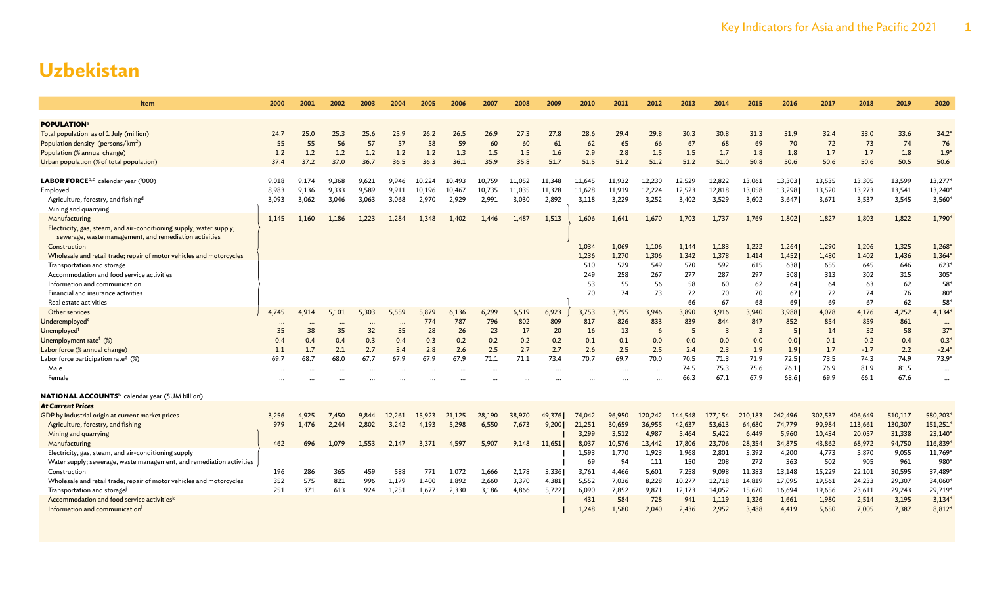| Item                                                                                                                          | 2000  | 2001      | 2002  | 2003            | 2004            | 2005     | 2006   | 2007     | 2008      | 2009     | 2010       | 2011       | 2012       | 2013       | 2014                    | 2015                    | 2016           | 2017      | 2018       | 2019       | 2020             |
|-------------------------------------------------------------------------------------------------------------------------------|-------|-----------|-------|-----------------|-----------------|----------|--------|----------|-----------|----------|------------|------------|------------|------------|-------------------------|-------------------------|----------------|-----------|------------|------------|------------------|
| <b>POPULATION</b>                                                                                                             |       |           |       |                 |                 |          |        |          |           |          |            |            |            |            |                         |                         |                |           |            |            |                  |
| Total population as of 1 July (million)                                                                                       | 24.7  | 25.0      | 25.3  | 25.6            | 25.9            | 26.2     | 26.5   | 26.9     | 27.3      | 27.8     | 28.6       | 29.4       | 29.8       | 30.3       | 30.8                    | 31.3                    | 31.9           | 32.4      | 33.0       | 33.6       | $34.2*$          |
| Population density (persons/km <sup>2</sup> )                                                                                 | 55    | 55        | 56    | 57              | 57              | 58       | 59     | 60       | 60        | 61       | 62         | 65         | 66         | 67         | 68                      | 69                      | 70             | 72        | 73         | 74         | 76               |
| Population (% annual change)                                                                                                  | 1.2   | 1.2       | 1.2   | 1.2             | 1.2             | 1.2      | 1.3    | 1.5      | 1.5       | 1.6      | 2.9        | 2.8        | 1.5        | 1.5        | 1.7                     | 1.8                     | 1.8            | 1.7       | 1.7        | 1.8        | $1.9*$           |
| Urban population (% of total population)                                                                                      | 37.4  | 37.2      | 37.0  | 36.7            | 36.5            | 36.3     | 36.1   | 35.9     | 35.8      | 51.7     | 51.5       | 51.2       | 51.2       | 51.2       | 51.0                    | 50.8                    | 50.6           | 50.6      | 50.6       | 50.5       | 50.6             |
|                                                                                                                               |       |           |       |                 |                 |          |        |          |           |          |            |            |            |            |                         |                         |                |           |            |            |                  |
| LABOR FORCE <sup>b,c</sup> calendar year ('000)                                                                               | 9.018 | 9.174     | 9.368 | 9,621           | 9.946           | 10,224   | 10.493 | 10,759   | 11.052    | 11.348   | 11,645     | 11.932     | 12.230     | 12,529     | 12,822                  | 13,061                  | 13,303         | 13,535    | 13,305     | 13,599     | 13,277           |
| Employed                                                                                                                      | 8,983 | 9,136     | 9,333 | 9,589           | 9,911           | 10,196   | 10,467 | 10,735   | 11,035    | 11,328   | 11,628     | 11,919     | 12,224     | 12,523     | 12,818                  | 13,058                  | 13,298         | 13,520    | 13,273     | 13,541     | 13,240           |
| Agriculture, forestry, and fishing <sup>d</sup>                                                                               | 3.093 | 3,062     | 3.046 | 3,063           | 3,068           | 2,970    | 2,929  | 2,991    | 3,030     | 2,892    | 3,118      | 3,229      | 3,252      | 3,402      | 3,529                   | 3,602                   | 3,647          | 3,671     | 3,537      | 3,545      | 3,560*           |
| Mining and quarrying                                                                                                          |       |           |       |                 |                 |          |        |          |           |          |            |            |            |            |                         |                         |                |           |            |            |                  |
| Manufacturing                                                                                                                 | 1.145 | 1.160     | 1.186 | 1.223           | 1.284           | 1.348    | 1.402  | 1.446    | 1.487     | 1.513    | 1,606      | 1,641      | 1,670      | 1,703      | 1,737                   | 1,769                   | 1,802          | 1,827     | 1,803      | 1,822      | 1,790            |
| Electricity, gas, steam, and air-conditioning supply; water supply;<br>sewerage, waste management, and remediation activities |       |           |       |                 |                 |          |        |          |           |          |            |            |            |            |                         |                         |                |           |            |            |                  |
| Construction                                                                                                                  |       |           |       |                 |                 |          |        |          |           |          | 1,034      | 1,069      | 1,106      | 1,144      | 1,183                   | 1,222                   | 1,264          | 1,290     | 1,206      | 1,325      | 1,268            |
| Wholesale and retail trade; repair of motor vehicles and motorcycles                                                          |       |           |       |                 |                 |          |        |          |           |          | 1,236      | 1,270      | 1,306      | 1,342      | 1,378                   | 1,414                   | 1,452          | 1,480     | 1,402      | 1,436      | 1,364            |
| Transportation and storage<br>Accommodation and food service activities                                                       |       |           |       |                 |                 |          |        |          |           |          | 510<br>249 | 529<br>258 | 549<br>267 | 570<br>277 | 592<br>287              | 615<br>297              | 638            | 655       | 645<br>302 | 646<br>315 | 623<br>$305*$    |
| Information and communication                                                                                                 |       |           |       |                 |                 |          |        |          |           |          |            |            | 56         |            |                         |                         | 308            | 313<br>64 | 63         | 62         | 58*              |
| Financial and insurance activities                                                                                            |       |           |       |                 |                 |          |        |          |           |          | 53<br>70   | 55<br>74   | 73         | 58<br>72   | 60<br>70                | 62<br>70                | 64 I<br>67     | 72        | 74         | 76         | $80*$            |
| Real estate activities                                                                                                        |       |           |       |                 |                 |          |        |          |           |          |            |            |            | 66         | 67                      | 68                      | 691            | 69        | 67         | 62         | 58*              |
| Other services                                                                                                                | 4.745 | 4.914     | 5,101 | 5,303           | 5.559           | 5.879    | 6,136  | 6,299    | 6,519     | 6,923    | 3,753      | 3,795      | 3,946      | 3,890      | 3.916                   | 3,940                   | 3,988          | 4,078     | 4,176      | 4,252      | $4,134*$         |
| Underemployed <sup>e</sup>                                                                                                    |       |           |       |                 |                 | 774      | 787    | 796      | 802       | 809      | 817        | 826        | 833        | 839        | 844                     | 847                     | 852            | 854       | 859        | 861        | $\ddotsc$        |
| Unemployed                                                                                                                    | 35    | 38        | 35    | $\ddotsc$<br>32 | $\ddotsc$<br>35 | 28       | 26     | 23       | 17        | 20       | 16         | 13         | 6          | -5         | $\overline{\mathbf{3}}$ | $\overline{\mathbf{3}}$ | 5 <sup>1</sup> | 14        | 32         | 58         | $37*$            |
| Unemployment rate <sup>f</sup> (%)                                                                                            | 0.4   | 0.4       | 0.4   | 0.3             | 0.4             | 0.3      | 0.2    | 0.2      | 0.2       | 0.2      | 0.1        | 0.1        | 0.0        | 0.0        | 0.0                     | 0.0                     | 0.01           | 0.1       | 0.2        | 0.4        | $0.3*$           |
| Labor force (% annual change)                                                                                                 | 1.1   | 1.7       | 2.1   | 2.7             | 3.4             | 2.8      | 2.6    | 2.5      | 2.7       | 2.7      | 2.6        | 2.5        | 2.5        | 2.4        | 2.3                     | 1.9                     | 1.91           | 1.7       | $-1.7$     | 2.2        | $-2.4*$          |
| Labor force participation rate <sup>g</sup> (%)                                                                               | 69.7  | 68.7      | 68.0  | 67.7            | 67.9            | 67.9     | 67.9   | 71.1     | 71.1      | 73.4     | 70.7       | 69.7       | 70.0       | 70.5       | 71.3                    | 71.9                    | 72.5           | 73.5      | 74.3       | 74.9       | 73.9*            |
| Male                                                                                                                          |       | $\ddotsc$ |       | $\cdots$        | $\cdots$        | $\cdots$ |        | $\cdots$ | $\ddotsc$ | $\cdots$ | $\cdots$   | $\cdots$   | $\cdots$   | 74.5       | 75.3                    | 75.6                    | 76.1           | 76.9      | 81.9       | 81.5       | $\cdots$         |
| Female                                                                                                                        |       |           |       |                 |                 |          |        |          |           |          |            |            | $\ddotsc$  | 66.3       | 67.1                    | 67.9                    | 68.6           | 69.9      | 66.1       | 67.6       | $\cdots$         |
|                                                                                                                               |       |           |       |                 |                 |          |        |          |           |          |            |            |            |            |                         |                         |                |           |            |            |                  |
| <b>NATIONAL ACCOUNTS</b> <sup>h</sup> calendar year (SUM billion)                                                             |       |           |       |                 |                 |          |        |          |           |          |            |            |            |            |                         |                         |                |           |            |            |                  |
| <b>At Current Prices</b>                                                                                                      |       |           |       |                 |                 |          |        |          |           |          |            |            |            |            |                         |                         |                |           |            |            |                  |
| GDP by industrial origin at current market prices                                                                             | 3,256 | 4,925     | 7,450 | 9.844           | 12,261          | 15,923   | 21,125 | 28,190   | 38,970    | 49.376   | 74,042     | 96,950     | 120,242    | 144,548    | 177,154                 | 210,183                 | 242,496        | 302,537   | 406,649    | 510,117    | 580,203          |
| Agriculture, forestry, and fishing                                                                                            | 979   | 1,476     | 2,244 | 2,802           | 3,242           | 4,193    | 5,298  | 6,550    | 7,673     | 9,200    | 21,251     | 30,659     | 36,955     | 42,637     | 53,613                  | 64,680                  | 74,779         | 90,984    | 113,661    | 130,307    | 151,251          |
| Mining and quarrying                                                                                                          |       |           |       |                 |                 |          |        |          |           |          | 3,299      | 3,512      | 4,987      | 5,464      | 5,422                   | 6,449                   | 5,960          | 10,434    | 20,057     | 31,338     | 23,140           |
| Manufacturing                                                                                                                 | 462   | 696       | 1.079 | 1,553           | 2.147           | 3.371    | 4.597  | 5.907    | 9,148     | 11,651   | 8,037      | 10,576     | 13,442     | 17,806     | 23,706                  | 28,354                  | 34,875         | 43,862    | 68,972     | 94,750     | 116,839          |
| Electricity, gas, steam, and air-conditioning supply                                                                          |       |           |       |                 |                 |          |        |          |           |          | 1,593      | 1,770      | 1,923      | 1,968      | 2,801                   | 3,392                   | 4,200          | 4,773     | 5,870      | 9,055      | 11,769           |
| Water supply; sewerage, waste management, and remediation activities                                                          |       |           |       |                 |                 |          |        |          |           |          | 69         | 94         | 111        | 150        | 208                     | 272                     | 363            | 502       | 905        | 961        | 980 <sup>*</sup> |
| Construction                                                                                                                  | 196   | 286       | 365   | 459             | 588             | 771      | 1,072  | 1,666    | 2,178     | 3,336    | 3,761      | 4,466      | 5,601      | 7,258      | 9,098                   | 11,383                  | 13,148         | 15,229    | 22,101     | 30,595     | 37,489           |
| Wholesale and retail trade; repair of motor vehicles and motorcycles <sup>i</sup>                                             | 352   | 575       | 821   | 996             | 1,179           | 1,400    | 1,892  | 2,660    | 3,370     | 4,381    | 5,552      | 7,036      | 8,228      | 10,277     | 12,718                  | 14,819                  | 17,095         | 19,561    | 24,233     | 29,307     | 34,060           |
| Transportation and storage                                                                                                    | 251   | 371       | 613   | 924             | 1,251           | 1,677    | 2,330  | 3,186    | 4,866     | 5,722    | 6,090      | 7,852      | 9,871      | 12,173     | 14,052                  | 15,670                  | 16,694         | 19,656    | 23,611     | 29,243     | 29,719           |
| Accommodation and food service activities <sup>k</sup>                                                                        |       |           |       |                 |                 |          |        |          |           |          | 431        | 584        | 728        | 941        | 1,119                   | 1,326                   | 1,661          | 1,980     | 2,514      | 3,195      | 3,134            |
| Information and communication                                                                                                 |       |           |       |                 |                 |          |        |          |           |          | 1,248      | 1,580      | 2,040      | 2,436      | 2,952                   | 3,488                   | 4,419          | 5,650     | 7,005      | 7,387      | 8,812            |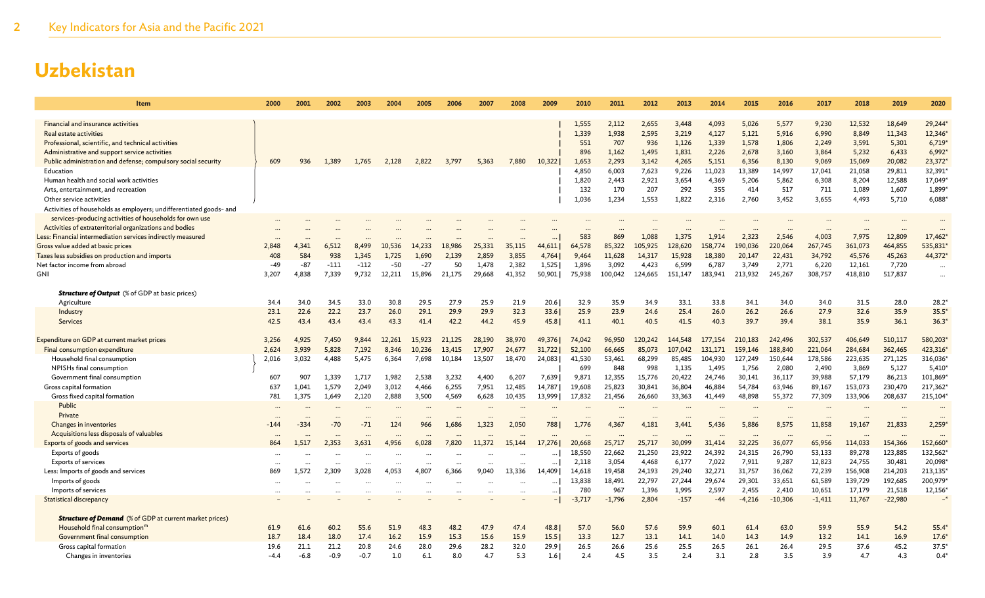| <b>Item</b>                                                        | 2000   | 2001   | 2002      | 2003      | 2004   | 2005   | 2006   | 2007                 | 2008   | 2009      | 2010            | 2011     | 2012      | 2013    | 2014           | 2015      | 2016      | 2017      | 2018      | 2019      | 2020                     |
|--------------------------------------------------------------------|--------|--------|-----------|-----------|--------|--------|--------|----------------------|--------|-----------|-----------------|----------|-----------|---------|----------------|-----------|-----------|-----------|-----------|-----------|--------------------------|
| Financial and insurance activities                                 |        |        |           |           |        |        |        |                      |        |           | 1.555           | 2.112    | 2,655     | 3,448   | 4,093          | 5,026     | 5,577     | 9,230     | 12,532    | 18,649    | 29,244*                  |
| Real estate activities                                             |        |        |           |           |        |        |        |                      |        |           | 1,339           | 1,938    | 2,595     | 3,219   | 4,127          | 5,121     | 5,916     | 6,990     | 8,849     | 11,343    | 12,346                   |
| Professional, scientific, and technical activities                 |        |        |           |           |        |        |        |                      |        |           | 551             | 707      | 936       | 1,126   | 1,339          | 1,578     | 1,806     | 2,249     | 3,591     | 5,301     | $6,719*$                 |
| Administrative and support service activities                      |        |        |           |           |        |        |        |                      |        |           | 896             | 1,162    | 1,495     | 1,831   | 2,226          | 2,678     | 3,160     | 3,864     | 5,232     | 6,433     | $6,992*$                 |
| Public administration and defense; compulsory social security      | 609    | 936    | 1.389     | 1,765     | 2,128  | 2,822  | 3,797  | 5,363                | 7,880  | 10,322    | 1,653           | 2,293    | 3,142     | 4,265   | 5,151          | 6,356     | 8,130     | 9,069     | 15,069    | 20,082    | 23,372                   |
| Education                                                          |        |        |           |           |        |        |        |                      |        |           | 4,850           | 6,003    | 7,623     | 9,226   | 11,023         | 13,389    | 14,997    | 17,041    | 21,058    | 29,811    | 32,391                   |
| Human health and social work activities                            |        |        |           |           |        |        |        |                      |        |           | 1.820           | 2.443    | 2.921     | 3.654   | 4,369          | 5,206     | 5.862     | 6.308     | 8.204     | 12,588    | 17,049                   |
| Arts, entertainment, and recreation                                |        |        |           |           |        |        |        |                      |        |           | 132             | 170      | 207       | 292     | 355            | 414       | 517       | 711       | 1,089     | 1,607     | 1,899*                   |
| Other service activities                                           |        |        |           |           |        |        |        |                      |        |           | 1.036           | 1,234    | 1,553     | 1.822   | 2,316          | 2,760     | 3,452     | 3,655     | 4.493     | 5,710     | 6,088*                   |
| Activities of households as employers; undifferentiated goods- and |        |        |           |           |        |        |        |                      |        |           |                 |          |           |         |                |           |           |           |           |           |                          |
| services-producing activities of households for own use            |        |        |           |           |        |        |        |                      |        |           |                 |          |           |         |                |           |           |           |           |           |                          |
| Activities of extraterritorial organizations and bodies            |        |        |           |           |        |        |        |                      |        |           | $\ddotsc$       |          |           |         |                |           |           |           |           | $\ddotsc$ | $\overline{\phantom{a}}$ |
| Less: Financial intermediation services indirectly measured        |        |        |           |           |        |        |        |                      |        | $\cdots$  | 583             | 869      | 1,088     | 1,375   | 1,914          | 2,323     | 2,546     | 4,003     | 7,975     | 12,809    | 17,462                   |
| Gross value added at basic prices                                  | 2,848  | 4.341  | 6,512     | 8,499     | 10,536 | 14,233 | 18,986 | 25,331               | 35,115 | 44,611    | 64,578          | 85,322   | 105,925   | 128,620 | 158,774        | 190,036   | 220,064   | 267,745   | 361,073   | 464,855   | 535,831                  |
| Taxes less subsidies on production and imports                     | 408    | 584    | 938       | 1.345     | 1.725  | 1,690  | 2.139  | 2,859                | 3,855  | 4,764     | 9,464           | 11,628   | 14,317    | 15,928  | 18,380         | 20,147    | 22,431    | 34,792    | 45,576    | 45,263    | 44,372                   |
| Net factor income from abroad                                      | -49    | $-87$  | $-111$    | $-112$    | $-50$  | $-27$  | 50     | 1,478                | 2,382  | 1,525     | 1,896           | 3,092    | 4,423     | 6,599   | 6,787          | 3,749     | 2,771     | 6,220     | 12,161    | 7,720     | $\ddots$                 |
| GNI                                                                | 3,207  | 4.838  | 7,339     | 9,732     | 12,211 | 15,896 | 21.175 | 29,668               | 41,352 | 50,901    | 75,938          | 100,042  | 124,665   | 151,147 | 183,941        | 213,932   | 245,267   | 308,757   | 418,810   | 517,837   | $\ddots$                 |
| <b>Structure of Output</b> (% of GDP at basic prices)              |        |        |           |           |        |        |        |                      |        |           |                 |          |           |         |                |           |           |           |           |           |                          |
| Agriculture                                                        | 34.4   | 34.0   | 34.5      | 33.0      | 30.8   | 29.5   | 27.9   | 25.9                 | 21.9   | 20.6      | 32.9            | 35.9     | 34.9      | 33.1    | 33.8           | 34.1      | 34.0      | 34.0      | 31.5      | 28.0      | $28.2^{\circ}$           |
| Industry                                                           | 23.1   | 22.6   | 22.2      | 23.7      | 26.0   | 29.1   | 29.9   | 29.9                 | 32.3   | 33.6      | 25.9            | 23.9     | 24.6      | 25.4    | 26.0           | 26.2      | 26.6      | 27.9      | 32.6      | 35.9      | 35.5'                    |
| <b>Services</b>                                                    | 42.5   | 43.4   | 43.4      | 43.4      | 43.3   | 41.4   | 42.2   | 44.2                 | 45.9   | 45.8      | 41.1            | 40.1     | 40.5      | 41.5    | 40.3           | 39.7      | 39.4      | 38.1      | 35.9      | 36.1      | 36.3'                    |
|                                                                    |        |        |           |           |        |        |        |                      |        |           |                 |          |           |         |                |           |           |           |           |           |                          |
| Expenditure on GDP at current market prices                        | 3,256  | 4,925  | 7,450     | 9,844     | 12,261 | 15,923 | 21,125 | 28,190               | 38,970 | 49,376    | 74,042          | 96,950   | 120,242   | 144.548 | 177,154        | 210,183   | 242,496   | 302,537   | 406,649   | 510,117   | 580,203                  |
| Final consumption expenditure                                      | 2,624  | 3,939  | 5,828     | 7,192     | 8,346  | 10,236 | 13,415 | 17,907               | 24,677 | 31,722    | 52,100          | 66,665   | 85,073    | 107,042 | 131,171        | 159,146   | 188,840   | 221,064   | 284,684   | 362,465   | 423,316                  |
| Household final consumption                                        | 2,016  | 3,032  | 4.488     | 5,475     | 6,364  | 7,698  | 10,184 | 13,507               | 18,470 | 24,083    | 41,530          | 53,461   | 68,299    | 85,485  | 104,930        | 127,249   | 150,644   | 178,586   | 223,635   | 271,125   | 316,036                  |
| NPISHs final consumption                                           |        |        |           |           |        |        |        |                      |        |           | 699             | 848      | 998       | 1,135   | 1,495          | 1,756     | 2,080     | 2,490     | 3,869     | 5,127     | 5,410                    |
| Government final consumption                                       | 607    | 907    | 1,339     | 1,717     | 1,982  | 2,538  | 3,232  | 4,400                | 6,207  | 7,639     | 9,871           | 12,355   | 15,776    | 20,422  | 24,746         | 30,141    | 36,117    | 39,988    | 57,179    | 86,213    | 101,869                  |
| Gross capital formation                                            | 637    | 1.041  | 1,579     | 2,049     | 3,012  | 4,466  | 6,255  | 7,951                | 12,485 | 14,787    | 19,608          | 25,823   | 30,841    | 36,804  | 46,884         | 54,784    | 63,946    | 89,167    | 153,073   | 230,470   | 217,362                  |
| Gross fixed capital formation                                      | 781    | 1,375  | 1,649     | 2,120     | 2,888  | 3,500  | 4,569  | 6,628                | 10,435 | 13,999    | 17,832          | 21,456   | 26,660    | 33,363  | 41,449         | 48,898    | 55,372    | 77,309    | 133,906   | 208,637   | 215,104                  |
| Public                                                             |        |        |           |           |        |        |        |                      |        |           |                 |          |           |         |                |           | $\cdot$   |           |           | $\ddotsc$ | $\cdots$                 |
| Private                                                            |        |        | $\ddotsc$ | $\ddotsc$ |        |        |        | $\ddot{\phantom{a}}$ |        | $\ddotsc$ | $\ddotsc$       |          | $\ddotsc$ |         |                | $\ddotsc$ | $\ddotsc$ | $\ddotsc$ | $\ddotsc$ | $\ddotsc$ | $\cdot$ .                |
| Changes in inventories                                             | $-144$ | $-334$ | $-70$     | $-71$     | 124    | 966    | 1,686  | 1,323                | 2,050  | 788       | 1,776           | 4,367    | 4,181     | 3,441   | 5,436          | 5,886     | 8,575     | 11,858    | 19,167    | 21,833    | 2,259*                   |
| Acquisitions less disposals of valuables                           |        |        |           |           |        |        |        |                      |        |           |                 |          |           |         |                |           |           |           |           |           |                          |
| Exports of goods and services                                      | 864    | 1.517  | 2.353     | 3.631     | 4.956  | 6.028  | 7,820  | 11.372               | 15,144 | 17,276    | 20,668          | 25.717   | 25,717    | 30.099  | 31,414         | 32,225    | 36,077    | 65,956    | 114,033   | 154,366   | 152,660                  |
| Exports of goods                                                   |        |        |           |           |        |        |        |                      |        |           | 18,550          | 22,662   | 21,250    | 23,922  | 24,392         | 24,315    | 26,790    | 53,133    | 89,278    | 123,885   | 132,562                  |
| Exports of services                                                |        |        |           |           |        |        |        |                      |        |           | 2,118           | 3,054    | 4,468     | 6,177   | 7,022          | 7,911     | 9,287     | 12,823    | 24,755    | 30,481    | 20,098                   |
| Less: Imports of goods and services                                | 869    | 1.572  | 2.309     | 3.028     | 4.053  | 4.807  | 6.366  | 9.040                | 13.336 | 14,409    | 14.618          | 19.458   | 24,193    | 29,240  | 32,271         | 31,757    | 36.062    | 72,239    | 156,908   | 214,203   | 213,135                  |
| Imports of goods                                                   |        |        |           |           |        |        |        |                      |        | $\cdots$  | 13,838          | 18,491   | 22,797    | 27,244  | 29,674         | 29,301    | 33,651    | 61,589    | 139,729   | 192,685   | 200,979*                 |
| Imports of services                                                |        |        |           |           |        |        |        |                      |        |           | 780<br>$-3,717$ | 967      | 1,396     | 1,995   | 2,597<br>$-44$ | 2,455     | 2,410     | 10,651    | 17,179    | 21,518    | 12,156                   |
| <b>Statistical discrepancy</b>                                     |        |        |           |           |        |        |        |                      |        |           |                 | $-1,796$ | 2,804     | $-157$  |                | $-4,216$  | $-10,306$ | $-1,411$  | 11,767    | $-22,980$ |                          |
| <b>Structure of Demand</b> (% of GDP at current market prices)     |        |        |           |           |        |        |        |                      |        |           |                 |          |           |         |                |           |           |           |           |           |                          |
| Household final consumption <sup>m</sup>                           | 61.9   | 61.6   | 60.2      | 55.6      | 51.9   | 48.3   | 48.2   | 47.9                 | 47.4   | 48.8      | 57.0            | 56.0     | 57.6      | 59.9    | 60.1           | 61.4      | 63.0      | 59.9      | 55.9      | 54.2      | 55.4                     |
| Government final consumption                                       | 18.7   | 18.4   | 18.0      | 17.4      | 16.2   | 15.9   | 15.3   | 15.6                 | 15.9   | 15.5      | 13.3            | 12.7     | 13.1      | 14.1    | 14.0           | 14.3      | 14.9      | 13.2      | 14.1      | 16.9      | 17.6                     |
| Gross capital formation                                            | 19.6   | 21.1   | 21.2      | 20.8      | 24.6   | 28.0   | 29.6   | 28.2                 | 32.0   | 29.9      | 26.5            | 26.6     | 25.6      | 25.5    | 26.5           | 26.1      | 26.4      | 29.5      | 37.6      | 45.2      | $37.5*$                  |
| Changes in inventories                                             | $-4.4$ | $-6.8$ | $-0.9$    | $-0.7$    | 1.0    | 6.1    | 8.0    | 4.7                  | 5.3    | 1.6       | 2.4             | 4.5      | 3.5       | 2.4     | 3.1            | 2.8       | 3.5       | 3.9       | 4.7       | 4.3       | $0.4*$                   |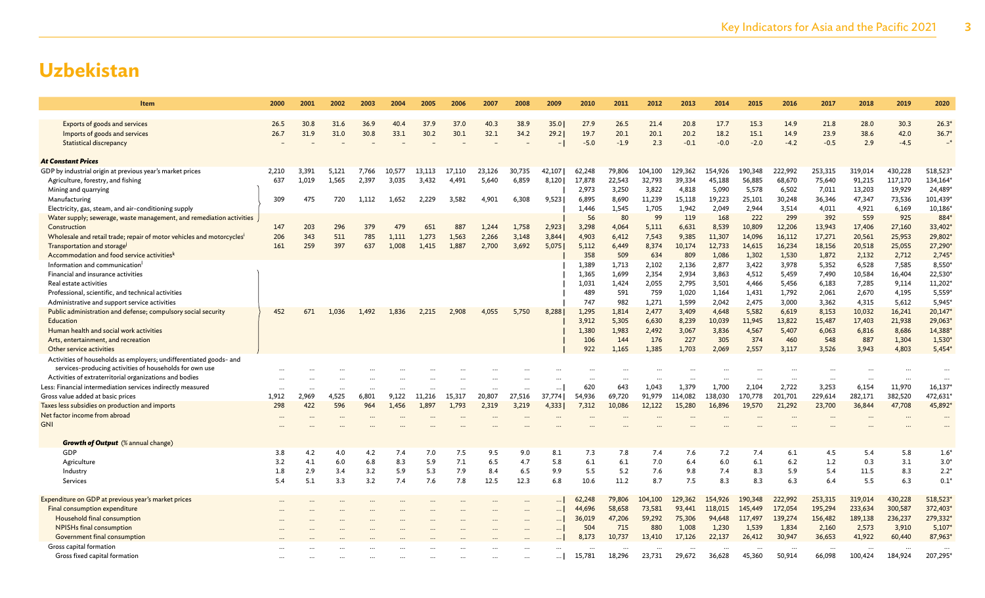| <b>Item</b>                                                                                                        | 2000  | 2001  | 2002  | 2003  | 2004   | 2005   | 2006   | 2007   | 2008      | 2009               | 2010   | 2011   | 2012    | 2013    | 2014    | 2015    | 2016    | 2017    | 2018    | 2019    | 2020     |
|--------------------------------------------------------------------------------------------------------------------|-------|-------|-------|-------|--------|--------|--------|--------|-----------|--------------------|--------|--------|---------|---------|---------|---------|---------|---------|---------|---------|----------|
| Exports of goods and services                                                                                      | 26.5  | 30.8  | 31.6  | 36.9  | 40.4   | 37.9   | 37.0   | 40.3   | 38.9      | 35.0               | 27.9   | 26.5   | 21.4    | 20.8    | 17.7    | 15.3    | 14.9    | 21.8    | 28.0    | 30.3    | $26.3*$  |
| Imports of goods and services                                                                                      | 26.7  | 31.9  | 31.0  | 30.8  | 33.1   | 30.2   | 30.1   | 32.1   | 34.2      | 29.2               | 19.7   | 20.1   | 20.1    | 20.2    | 18.2    | 15.1    | 14.9    | 23.9    | 38.6    | 42.0    | $36.7*$  |
| <b>Statistical discrepancy</b>                                                                                     |       |       |       |       |        |        |        |        |           |                    | $-5.0$ | $-1.9$ | 2.3     | $-0.1$  | $-0.0$  | $-2.0$  | $-4.2$  | $-0.5$  | 2.9     | $-4.5$  | $-*$     |
| <b>At Constant Prices</b>                                                                                          |       |       |       |       |        |        |        |        |           |                    |        |        |         |         |         |         |         |         |         |         |          |
| GDP by industrial origin at previous year's market prices                                                          | 2,210 | 3.391 | 5,121 | 7,766 | 10,577 | 13,113 | 17.110 | 23,126 | 30,735    | 42.107             | 62.248 | 79,806 | 104,100 | 129,362 | 154,926 | 190,348 | 222,992 | 253,315 | 319,014 | 430,228 | 518,523  |
| Agriculture, forestry, and fishing                                                                                 | 637   | 1.019 | 1.565 | 2,397 | 3,035  | 3,432  | 4,491  | 5,640  | 6,859     | 8,120              | 17,878 | 22,543 | 32,793  | 39,334  | 45,188  | 56,885  | 68,670  | 75,640  | 91,215  | 117,170 | 134,164* |
| Mining and quarrying                                                                                               |       |       |       |       |        |        |        |        |           |                    | 2,973  | 3,250  | 3,822   | 4,818   | 5,090   | 5,578   | 6,502   | 7,011   | 13,203  | 19,929  | 24,489*  |
| Manufacturing                                                                                                      | 309   | 475   | 720   | 1,112 | 1,652  | 2,229  | 3,582  | 4.901  | 6,308     | 9,523              | 6,895  | 8,690  | 11,239  | 15,118  | 19,223  | 25,101  | 30,248  | 36,346  | 47,347  | 73,536  | 101,439* |
| Electricity, gas, steam, and air-conditioning supply                                                               |       |       |       |       |        |        |        |        |           |                    | 1.446  | 1,545  | 1,705   | 1,942   | 2,049   | 2,944   | 3,514   | 4,011   | 4,921   | 6,169   | 10,186   |
| Water supply; sewerage, waste management, and remediation activities                                               |       |       |       |       |        |        |        |        |           |                    | 56     | 80     | 99      | 119     | 168     | 222     | 299     | 392     | 559     | 925     | 884      |
| Construction                                                                                                       | 147   | 203   | 296   | 379   | 479    | 651    | 887    | 1,244  | 1,758     | 2,923              | 3,298  | 4,064  | 5,111   | 6,631   | 8,539   | 10,809  | 12,206  | 13,943  | 17,406  | 27,160  | 33,402*  |
| Wholesale and retail trade; repair of motor vehicles and motorcycles'                                              | 206   | 343   | 511   | 785   | 1,111  | 1,273  | 1,563  | 2,266  | 3,148     | 3,844              | 4,903  | 6,412  | 7,543   | 9,385   | 11,307  | 14,096  | 16,112  | 17,271  | 20,561  | 25,953  | 29,802*  |
| Transportation and storage                                                                                         | 161   | 259   | 397   | 637   | 1,008  | 1,415  | 1,887  | 2,700  | 3,692     | 5,075              | 5,112  | 6,449  | 8,374   | 10,174  | 12,733  | 14,615  | 16,234  | 18,156  | 20,518  | 25,055  | 27,290*  |
| Accommodation and food service activities <sup>k</sup>                                                             |       |       |       |       |        |        |        |        |           |                    | 358    | 509    | 634     | 809     | 1,086   | 1,302   | 1,530   | 1,872   | 2,132   | 2,712   | 2,745    |
| Information and communication                                                                                      |       |       |       |       |        |        |        |        |           |                    | 1,389  | 1,713  | 2,102   | 2,136   | 2,877   | 3,422   | 3,978   | 5,352   | 6,528   | 7,585   | 8,550    |
| Financial and insurance activities                                                                                 |       |       |       |       |        |        |        |        |           |                    | 1.365  | 1,699  | 2,354   | 2,934   | 3,863   | 4,512   | 5,459   | 7,490   | 10,584  | 16,404  | 22,530   |
| Real estate activities                                                                                             |       |       |       |       |        |        |        |        |           |                    | 1,031  | 1,424  | 2,055   | 2,795   | 3,501   | 4,466   | 5,456   | 6,183   | 7,285   | 9,114   | 11,202*  |
| Professional, scientific, and technical activities                                                                 |       |       |       |       |        |        |        |        |           |                    | 489    | 591    | 759     | 1,020   | 1,164   | 1,431   | 1,792   | 2,061   | 2,670   | 4,195   | 5,559    |
| Administrative and support service activities                                                                      |       |       |       |       |        |        |        |        |           |                    | 747    | 982    | 1,271   | 1,599   | 2,042   | 2,475   | 3,000   | 3,362   | 4,315   | 5,612   | 5,945    |
| Public administration and defense; compulsory social security                                                      | 452   | 671   | 1.036 | 1.492 | 1.836  | 2.215  | 2,908  | 4,055  | 5,750     | 8,288              | 1.295  | 1,814  | 2,477   | 3,409   | 4,648   | 5,582   | 6,619   | 8,153   | 10,032  | 16,241  | 20,147   |
| Education                                                                                                          |       |       |       |       |        |        |        |        |           |                    | 3,912  | 5,305  | 6,630   | 8,239   | 10,039  | 11,945  | 13,822  | 15,487  | 17,403  | 21,938  | 29,063*  |
| Human health and social work activities                                                                            |       |       |       |       |        |        |        |        |           |                    | 1,380  | 1,983  | 2,492   | 3,067   | 3,836   | 4,567   | 5,407   | 6,063   | 6,816   | 8,686   | 14,388   |
| Arts, entertainment, and recreation                                                                                |       |       |       |       |        |        |        |        |           |                    | 106    | 144    | 176     | 227     | 305     | 374     | 460     | 548     | 887     | 1,304   | $1,530*$ |
| Other service activities                                                                                           |       |       |       |       |        |        |        |        |           |                    | 922    | 1,165  | 1,385   | 1,703   | 2,069   | 2,557   | 3,117   | 3,526   | 3,943   | 4,803   | $5,454*$ |
| Activities of households as employers; undifferentiated goods- and                                                 |       |       |       |       |        |        |        |        |           |                    |        |        |         |         |         |         |         |         |         |         |          |
| services-producing activities of households for own use<br>Activities of extraterritorial organizations and bodies |       |       |       |       |        |        |        |        |           |                    |        |        |         |         |         |         |         |         |         |         | $\cdots$ |
| Less: Financial intermediation services indirectly measured                                                        |       |       |       |       |        |        |        |        |           |                    | 620    | 643    | 1.043   | 1,379   | 1.700   | 2,104   | 2,722   | 3,253   | 6,154   | 11,970  | 16,137*  |
| Gross value added at basic prices                                                                                  | 1,912 | 2,969 | 4,525 | 6.801 | 9,122  | 11.216 | 15.317 | 20,807 | 27.516    | $\cdots$<br>37.774 | 54,936 | 69,720 | 91,979  | 114,082 | 138,030 | 170,778 | 201,701 | 229,614 | 282,171 | 382,520 | 472,631* |
| Taxes less subsidies on production and imports                                                                     | 298   | 422   | 596   | 964   | 1,456  | 1,897  | 1,793  | 2,319  | 3,219     | 4,333              | 7,312  | 10,086 | 12,122  | 15,280  | 16,896  | 19,570  | 21,292  | 23,700  | 36,844  | 47,708  | 45,892*  |
| Net factor income from abroad                                                                                      |       |       |       |       |        |        |        |        |           |                    |        |        |         |         |         |         |         |         |         |         |          |
| <b>GNI</b>                                                                                                         |       |       |       |       |        |        |        |        |           |                    |        |        |         |         |         |         |         |         |         |         |          |
|                                                                                                                    |       |       |       |       |        |        |        |        |           |                    |        |        |         |         |         |         |         |         |         |         |          |
| <b>Growth of Output</b> (% annual change)                                                                          |       |       |       |       |        |        |        |        |           |                    |        |        |         |         |         |         |         |         |         |         |          |
| GDP                                                                                                                | 3.8   | 4.2   | 4.0   | 4.2   | 7.4    | 7.0    | 7.5    | 9.5    | 9.0       | 8.1                | 7.3    | 7.8    | 7.4     | 7.6     | 7.2     | 7.4     | 6.1     | 4.5     | 5.4     | 5.8     | $1.6*$   |
| Agriculture                                                                                                        | 3.2   | 4.1   | 6.0   | 6.8   | 8.3    | 5.9    | 7.1    | 6.5    | 4.7       | 5.8                | 6.1    | 6.1    | 7.0     | 6.4     | 6.0     | 6.1     | 6.2     | 1.2     | 0.3     | 3.1     | $3.0*$   |
| Industry                                                                                                           | 1.8   | 2.9   | 3.4   | 3.2   | 5.9    | 5.3    | 7.9    | 8.4    | 6.5       | 9.9                | 5.5    | 5.2    | 7.6     | 9.8     | 7.4     | 8.3     | 5.9     | 5.4     | 11.5    | 8.3     | $2.2*$   |
| Services                                                                                                           | 5.4   | 5.1   | 3.3   | 3.2   | 7.4    | 7.6    | 7.8    | 12.5   | 12.3      | 6.8                | 10.6   | 11.2   | 8.7     | 7.5     | 8.3     | 8.3     | 6.3     | 6.4     | 5.5     | 6.3     | $0.1*$   |
| Expenditure on GDP at previous year's market prices                                                                |       |       |       |       |        |        |        |        |           |                    | 62,248 | 79,806 | 104,100 | 129,362 | 154,926 | 190,348 | 222,992 | 253,315 | 319,014 | 430,228 | 518,523  |
| Final consumption expenditure                                                                                      |       |       |       |       |        |        |        |        | $\ddotsc$ |                    | 44,696 | 58,658 | 73,581  | 93,441  | 118,015 | 145,449 | 172,054 | 195,294 | 233,634 | 300,587 | 372,403  |
| Household final consumption                                                                                        |       |       |       |       |        |        |        |        |           |                    | 36,019 | 47,206 | 59,292  | 75,306  | 94,648  | 117,497 | 139,274 | 156,482 | 189,138 | 236,237 | 279,332* |
| NPISHs final consumption                                                                                           |       |       |       |       |        |        |        |        | $\ddotsc$ |                    | 504    | 715    | 880     | 1,008   | 1,230   | 1,539   | 1,834   | 2,160   | 2,573   | 3,910   | $5,107*$ |
| Government final consumption                                                                                       |       |       |       |       |        |        |        |        |           |                    | 8,173  | 10,737 | 13,410  | 17,126  | 22,137  | 26,412  | 30,947  | 36,653  | 41,922  | 60,440  | 87,963*  |
| Gross capital formation                                                                                            |       |       |       |       |        |        |        |        |           |                    |        |        |         |         |         |         |         |         |         |         |          |
| Gross fixed capital formation                                                                                      |       |       |       |       |        |        |        |        |           |                    | 15,781 | 18,296 | 23,731  | 29,672  | 36,628  | 45,360  | 50.914  | 66,098  | 100,424 | 184,924 | 207,295  |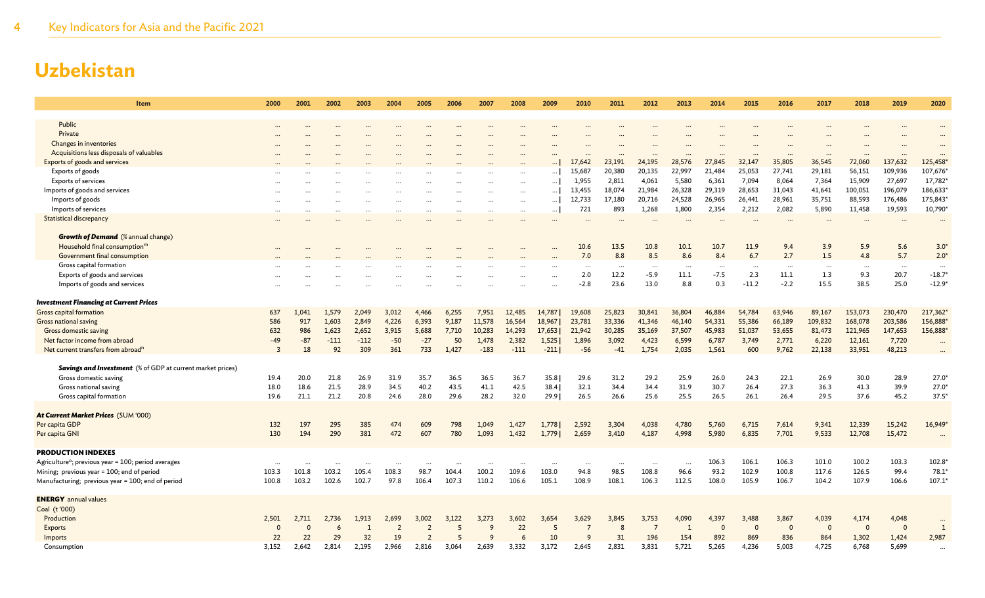| Item                                                               | 2000           | 2001         | 2002     | 2003   | 2004           | 2005           | 2006         | 2007         | 2008         | 2009         | 2010           | 2011         | 2012           | 2013     | 2014     | 2015     | 2016     | 2017           | 2018         | 2019                            | 2020                     |
|--------------------------------------------------------------------|----------------|--------------|----------|--------|----------------|----------------|--------------|--------------|--------------|--------------|----------------|--------------|----------------|----------|----------|----------|----------|----------------|--------------|---------------------------------|--------------------------|
|                                                                    |                |              |          |        |                |                |              |              |              |              |                |              |                |          |          |          |          |                |              |                                 |                          |
| Public                                                             |                |              |          |        |                |                |              |              |              |              |                |              |                |          |          |          |          |                |              |                                 |                          |
| Private                                                            |                |              |          |        |                |                |              |              |              |              |                |              |                |          |          |          |          |                |              |                                 | $\ddotsc$                |
| Changes in inventories<br>Acquisitions less disposals of valuables |                |              |          |        |                |                |              |              |              |              |                |              |                |          |          |          |          |                |              |                                 |                          |
| Exports of goods and services                                      |                |              |          |        |                |                |              |              |              |              | 17,642         | 23,191       | 24,195         | 28,576   | 27,845   | 32,147   | 35,805   | 36,545         | 72,060       | $\ddot{\phantom{a}}$<br>137,632 | $\ddotsc$<br>125,458     |
| Exports of goods                                                   |                |              |          |        |                |                |              |              |              |              | 15,687         | 20,380       | 20,135         | 22,997   | 21,484   | 25,053   | 27,741   | 29,181         | 56,151       | 109,936                         | 107,676                  |
| <b>Exports of services</b>                                         |                |              | $\cdots$ |        |                | $\ddotsc$      | $\ddotsc$    |              | $\ddotsc$    | $\ldots$     | 1,955          | 2,811        | 4,061          | 5,580    | 6,361    | 7,094    | 8,064    | 7,364          | 15,909       | 27,697                          | 17,782                   |
| Imports of goods and services                                      |                |              |          |        |                |                |              |              |              | $\ddotsc$    | 13,455         | 18,074       | 21,984         | 26,328   | 29,319   | 28,653   | 31,043   | 41,641         | 100,051      | 196,079                         | 186,633                  |
| Imports of goods                                                   |                |              |          |        |                |                |              |              | $\ddotsc$    | $\ldots$     | 12,733         | 17,180       | 20,716         | 24,528   | 26,965   | 26,441   | 28,961   | 35,751         | 88,593       | 176,486                         | 175,843                  |
| Imports of services                                                |                |              |          |        |                |                |              |              |              | $\ldots$     | 721            | 893          | 1,268          | 1,800    | 2,354    | 2,212    | 2,082    | 5,890          | 11,458       | 19,593                          | 10,790                   |
| <b>Statistical discrepancy</b>                                     |                |              |          |        |                |                |              |              |              |              |                |              |                |          |          |          |          |                |              |                                 |                          |
|                                                                    |                |              |          |        |                |                |              |              |              |              |                |              |                |          |          |          |          |                |              |                                 |                          |
| <b>Growth of Demand</b> (% annual change)                          |                |              |          |        |                |                |              |              |              |              |                |              |                |          |          |          |          |                |              |                                 |                          |
| Household final consumption <sup>m</sup>                           |                |              |          |        |                |                |              |              |              |              | 10.6           | 13.5         | 10.8           | 10.1     | 10.7     | 11.9     | 9.4      | 3.9            | 5.9          | 5.6                             | $3.0^\circ$              |
| Government final consumption                                       |                |              |          |        |                |                |              |              |              |              | 7.0            | 8.8          | 8.5            | 8.6      | 8.4      | 6.7      | 2.7      | 1.5            | 4.8          | 5.7                             | $2.0*$                   |
| Gross capital formation                                            |                |              |          |        |                |                |              |              |              | $\cdots$     | $\cdots$       | $\cdots$     | $\cdots$       | $\cdots$ | $\cdots$ | $\cdots$ | .        | $\cdots$       | $\cdots$     | $\ldots$                        | $\ddots$                 |
| Exports of goods and services                                      |                |              |          |        |                |                |              |              |              | $\cdots$     | 2.0            | 12.2         | $-5.9$         | 11.1     | $-7.5$   | 2.3      | 11.1     | 1.3            | 9.3          | 20.7                            | $-18.7'$                 |
| Imports of goods and services                                      |                |              |          |        |                |                |              |              |              |              | $-2.8$         | 23.6         | 13.0           | 8.8      | 0.3      | $-11.2$  | $-2.2$   | 15.5           | 38.5         | 25.0                            | $-12.9*$                 |
|                                                                    |                |              |          |        |                |                |              |              |              |              |                |              |                |          |          |          |          |                |              |                                 |                          |
| <b>Investment Financing at Current Prices</b>                      |                |              |          |        |                |                |              |              |              |              |                |              |                |          |          |          |          |                |              |                                 |                          |
| Gross capital formation                                            | 637            | 1,041        | 1,579    | 2,049  | 3,012          | 4,466          | 6,255        | 7,951        | 12,485       | 14,787       | 19,608         | 25,823       | 30,841         | 36,804   | 46,884   | 54,784   | 63,946   | 89,167         | 153,073      | 230,470                         | 217,362                  |
| Gross national saving                                              | 586            | 917          | 1,603    | 2,849  | 4,226          | 6,393          | 9,187        | 11,578       | 16,564       | 18,967       | 23,781         | 33,336       | 41,346         | 46,140   | 54,331   | 55,386   | 66,189   | 109,832        | 168,078      | 203,586                         | 156,888                  |
| Gross domestic saving                                              | 632            | 986          | 1,623    | 2,652  | 3,915          | 5,688          | 7,710        | 10,283       | 14,293       | 17,653       | 21,942         | 30,285       | 35,169         | 37,507   | 45,983   | 51,037   | 53,655   | 81,473         | 121,965      | 147,653                         | 156,888                  |
| Net factor income from abroad                                      | $-49$          | $-87$        | $-111$   | $-112$ | $-50$          | $-27$          | 50           | 1,478        | 2,382        | 1,525        | 1,896          | 3,092        | 4,423          | 6,599    | 6,787    | 3,749    | 2,771    | 6,220          | 12,161       | 7,720                           | $\ddotsc$                |
| Net current transfers from abroad <sup>r</sup>                     | $\overline{3}$ | 18           | 92       | 309    | 361            | 733            | 1.427        | $-183$       | $-111$       | $-211$       | $-56$          | $-41$        | 1,754          | 2,035    | 1,561    | 600      | 9,762    | 22,138         | 33,951       | 48,213                          | $\overline{\phantom{a}}$ |
| <b>Savings and Investment</b> (% of GDP at current market prices)  |                |              |          |        |                |                |              |              |              |              |                |              |                |          |          |          |          |                |              |                                 |                          |
| Gross domestic saving                                              | 19.4           | 20.0         | 21.8     | 26.9   | 31.9           | 35.7           |              |              |              |              |                |              | 29.2           | 25.9     | 26.0     | 24.3     | 22.1     |                |              | 28.9                            | $27.0^{\circ}$           |
| Gross national saving                                              | 18.0           | 18.6         | 21.5     | 28.9   | 34.5           | 40.2           | 36.5<br>43.5 | 36.5<br>41.1 | 36.7<br>42.5 | 35.8<br>38.4 | 29.6<br>32.1   | 31.2<br>34.4 | 34.4           | 31.9     | 30.7     | 26.4     | 27.3     | 26.9<br>36.3   | 30.0<br>41.3 | 39.9                            | $27.0^{\circ}$           |
| Gross capital formation                                            | 19.6           | 21.1         | 21.2     | 20.8   | 24.6           | 28.0           | 29.6         | 28.2         | 32.0         | 29.9         | 26.5           | 26.6         | 25.6           | 25.5     | 26.5     | 26.1     | 26.4     | 29.5           | 37.6         | 45.2                            | $37.5^{\circ}$           |
|                                                                    |                |              |          |        |                |                |              |              |              |              |                |              |                |          |          |          |          |                |              |                                 |                          |
| At Current Market Prices (SUM '000)                                |                |              |          |        |                |                |              |              |              |              |                |              |                |          |          |          |          |                |              |                                 |                          |
| Per capita GDP                                                     | 132            | 197          | 295      | 385    | 474            | 609            | 798          | 1,049        | 1,427        | 1,778        | 2,592          | 3,304        | 4,038          | 4,780    | 5,760    | 6,715    | 7,614    | 9,341          | 12,339       | 15,242                          | 16,949*                  |
| Per capita GNI                                                     | 130            | 194          | 290      | 381    | 472            | 607            | 780          | 1,093        | 1,432        | 1,779        | 2,659          | 3,410        | 4,187          | 4,998    | 5,980    | 6,835    | 7,701    | 9,533          | 12,708       | 15,472                          | $\ddots$                 |
|                                                                    |                |              |          |        |                |                |              |              |              |              |                |              |                |          |          |          |          |                |              |                                 |                          |
| <b>PRODUCTION INDEXES</b>                                          |                |              |          |        |                |                |              |              |              |              |                |              |                |          |          |          |          |                |              |                                 |                          |
| Agriculture <sup>o</sup> ; previous year = 100; period averages    |                |              |          |        |                |                |              |              |              | $\ddotsc$    | $\ddotsc$      |              | $\ddotsc$      | $\cdots$ | 106.3    | 106.1    | 106.3    | 101.0          | 100.2        | 103.3                           | 102.8                    |
| Mining; previous year = 100; end of period                         | 103.3          | 101.8        | 103.2    | 105.4  | 108.3          | 98.7           | 104.4        | 100.2        | 109.6        | 103.0        | 94.8           | 98.5         | 108.8          | 96.6     | 93.2     | 102.9    | 100.8    | 117.6          | 126.5        | 99.4                            | 78.1                     |
| Manufacturing; previous year = 100; end of period                  | 100.8          | 103.2        | 102.6    | 102.7  | 97.8           | 106.4          | 107.3        | 110.2        | 106.6        | 105.1        | 108.9          | 108.1        | 106.3          | 112.5    | 108.0    | 105.9    | 106.7    | 104.2          | 107.9        | 106.6                           | 107.1                    |
|                                                                    |                |              |          |        |                |                |              |              |              |              |                |              |                |          |          |          |          |                |              |                                 |                          |
| <b>ENERGY</b> annual values                                        |                |              |          |        |                |                |              |              |              |              |                |              |                |          |          |          |          |                |              |                                 |                          |
| Coal (t'000)                                                       |                |              |          |        |                |                |              |              |              |              |                |              |                |          |          |          |          |                |              |                                 |                          |
| Production                                                         | 2.501          | 2.711        | 2.736    | 1.913  | 2.699          | 3.002          | 3.122        | 3,273        | 3.602        | 3.654        | 3.629          | 3.845        | 3,753          | 4.090    | 4.397    | 3,488    | 3,867    | 4,039          | 4,174        | 4,048                           |                          |
| <b>Exports</b>                                                     | $\Omega$       | $\mathbf{0}$ | 6        | -1     | $\overline{2}$ | $\overline{2}$ | 5            |              | 22           | 5            | $\overline{7}$ | 8            | $\overline{7}$ | 1        | $\Omega$ | $\Omega$ | $\Omega$ | $\overline{0}$ | $\Omega$     | $\Omega$                        | $\overline{1}$           |
| Imports                                                            | 22             | 22           | 29       | 32     | 19             |                | 5            |              | 6            | 10           | q              | 31           | 196            | 154      | 892      | 869      | 836      | 864            | 1,302        | 1,424                           | 2,987                    |
| Consumption                                                        | 3,152          | 2,642        | 2,814    | 2,195  | 2,966          | 2,816          | 3,064        | 2,639        | 3,332        | 3,172        | 2,645          | 2,831        | 3,831          | 5,721    | 5,265    | 4,236    | 5,003    | 4,725          | 6,768        | 5,699                           | $\ddotsc$                |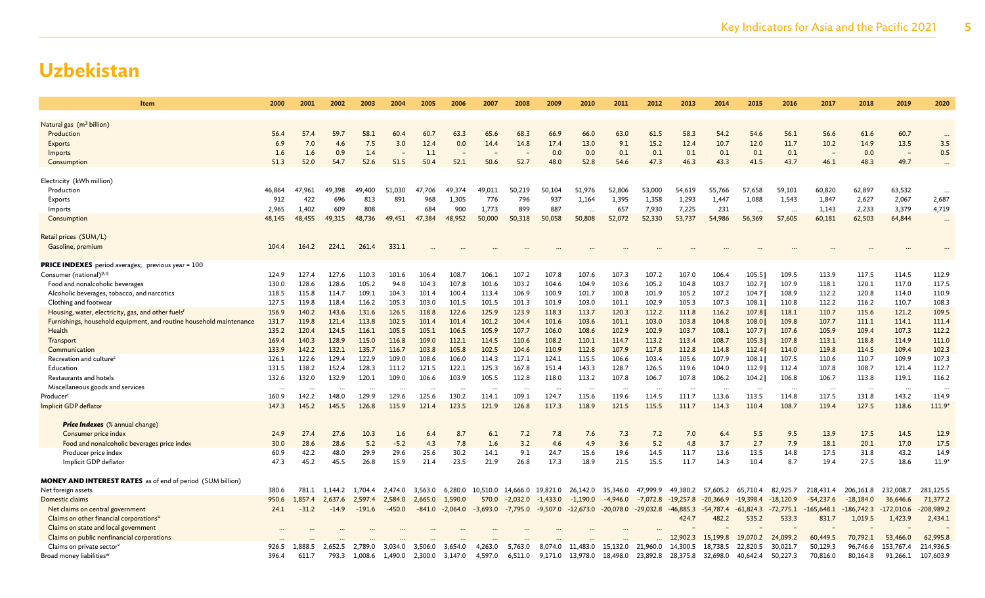| <b>Item</b>                                                         | 2000   | 2001    | 2002    | 2003     | 2004      | 2005     | 2006       | 2007                       | 2008       | 2009       | 2010        | 2011              | 2012                  | 2013                                        | 2014        | 2015        | 2016        | 2017         | 2018         | 2019         | 2020            |
|---------------------------------------------------------------------|--------|---------|---------|----------|-----------|----------|------------|----------------------------|------------|------------|-------------|-------------------|-----------------------|---------------------------------------------|-------------|-------------|-------------|--------------|--------------|--------------|-----------------|
| Natural gas (m <sup>3</sup> billion)                                |        |         |         |          |           |          |            |                            |            |            |             |                   |                       |                                             |             |             |             |              |              |              |                 |
| Production                                                          | 56.4   | 57.4    | 59.7    | 58.1     | 60.4      | 60.7     | 63.3       | 65.6                       | 68.3       | 66.9       | 66.0        | 63.0              | 61.5                  | 58.3                                        | 54.2        | 54.6        | 56.1        | 56.6         | 61.6         | 60.7         |                 |
| <b>Exports</b>                                                      | 6.9    | 7.0     | 4.6     | 7.5      | 3.0       | 12.4     | 0.0        | 14.4                       | 14.8       | 17.4       | 13.0        | 9.1               | 15.2                  | 12.4                                        | 10.7        | 12.0        | 11.7        | 10.2         | 14.9         | 13.5         | $\cdots$<br>3.5 |
| Imports                                                             | 1.6    | 1.6     | 0.9     | 1.4      |           | 1.1      |            |                            |            | 0.0        | 0.0         | 0.1               | 0.1                   | 0.1                                         | 0.1         | 0.1         | 0.1         |              | 0.0          |              | 0.5             |
| Consumption                                                         | 51.3   | 52.0    | 54.7    | 52.6     | 51.5      | 50.4     | 52.1       | 50.6                       | 52.7       | 48.0       | 52.8        | 54.6              | 47.3                  | 46.3                                        | 43.3        | 41.5        | 43.7        | 46.1         | 48.3         | 49.7         |                 |
|                                                                     |        |         |         |          |           |          |            |                            |            |            |             |                   |                       |                                             |             |             |             |              |              |              |                 |
| Electricity (kWh million)                                           |        |         |         |          |           |          |            |                            |            |            |             |                   |                       |                                             |             |             |             |              |              |              |                 |
| Production                                                          | 46,864 | 47,961  | 49,398  | 49,400   | 51,030    | 47,706   | 49,374     | 49,011                     | 50,219     | 50,104     | 51,976      | 52,806            | 53,000                | 54,619                                      | 55,766      | 57,658      | 59,101      | 60,820       | 62,897       | 63,532       | $\cdots$        |
| Exports                                                             | 912    | 422     | 696     | 813      | 891       | 968      | 1,305      | 776                        | 796        | 937        | 1,164       | 1,395             | 1,358                 | 1,293                                       | 1,447       | 1,088       | 1,543       | 1,847        | 2,627        | 2,067        | 2,687           |
| Imports                                                             | 2,965  | 1,402   | 609     | 808      | $\cdots$  | 684      | 900        | 1,773                      | 899        | 887        | $\cdots$    | 657               | 7,930                 | 7,225                                       | 231         | $\cdots$    | $\cdots$    | 1,143        | 2,233        | 3,379        | 4,719           |
| Consumption                                                         | 48,145 | 48,455  | 49,315  | 48,736   | 49,451    | 47,384   | 48,952     | 50,000                     | 50,318     | 50,058     | 50,808      | 52,072            | 52,330                | 53,737                                      | 54,986      | 56,369      | 57,605      | 60,181       | 62,503       | 64,844       | $\ddotsc$       |
| Retail prices (SUM/L)                                               |        |         |         |          |           |          |            |                            |            |            |             |                   |                       |                                             |             |             |             |              |              |              |                 |
| Gasoline, premium                                                   | 104.4  | 164.2   | 224.1   | 261.4    | 331.1     | $\cdots$ | $\cdots$   |                            |            |            |             |                   |                       |                                             |             |             |             |              |              |              |                 |
|                                                                     |        |         |         |          |           |          |            |                            |            |            |             |                   |                       |                                             |             |             |             |              |              |              |                 |
| <b>PRICE INDEXES</b> period averages; previous year = 100           |        |         |         |          |           |          |            |                            |            |            |             |                   |                       |                                             |             |             |             |              |              |              |                 |
| Consumer (national) <sup>p,q</sup>                                  | 124.9  | 127.4   | 127.6   | 110.3    | 101.6     | 106.4    | 108.7      | 106.1                      | 107.2      | 107.8      | 107.6       | 107.3             | 107.2                 | 107.0                                       | 106.4       | 105.5       | 109.5       | 113.9        | 117.5        | 114.5        | 112.9           |
| Food and nonalcoholic beverages                                     | 130.0  | 128.6   | 128.6   | 105.2    | 94.8      | 104.3    | 107.8      | 101.6                      | 103.2      | 104.6      | 104.9       | 103.6             | 105.2                 | 104.8                                       | 103.7       | 102.7       | 107.9       | 118.1        | 120.1        | 117.0        | 117.5           |
| Alcoholic beverages, tobacco, and narcotics                         | 118.5  | 115.8   | 114.7   | 109.1    | 104.3     | 101.4    | 100.4      | 113.4                      | 106.9      | 100.9      | 101.7       | 100.8             | 101.9                 | 105.2                                       | 107.2       | 104.7       | 108.9       | 112.2        | 120.8        | 114.0        | 110.9           |
| Clothing and footwear                                               | 127.5  | 119.8   | 118.4   | 116.2    | 105.3     | 103.0    | 101.5      | 101.5                      | 101.3      | 101.9      | 103.0       | 101.1             | 102.9                 | 105.3                                       | 107.3       | 108.1       | 110.8       | 112.2        | 116.2        | 110.7        | 108.3           |
| Housing, water, electricity, gas, and other fuels <sup>r</sup>      | 156.9  | 140.2   | 143.6   | 131.6    | 126.5     | 118.8    | 122.6      | 125.9                      | 123.9      | 118.3      | 113.7       | 120.3             | 112.2                 | 111.8                                       | 116.2       | 107.8       | 118.1       | 110.7        | 115.6        | 121.2        | 109.5           |
| Furnishings, household equipment, and routine household maintenance | 131.7  | 119.8   | 121.4   | 113.8    | 102.5     | 101.4    | 101.4      | 101.2                      | 104.4      | 101.6      | 103.6       | 101.1             | 103.0                 | 103.8                                       | 104.8       | 108.0       | 109.8       | 107.7        | 111.1        | 114.1        | 111.4           |
| Health                                                              | 135.2  | 120.4   | 124.5   | 116.1    | 105.5     | 105.1    | 106.5      | 105.9                      | 107.7      | 106.0      | 108.6       | 102.9             | 102.9                 | 103.7                                       | 108.1       | 107.7       | 107.6       | 105.9        | 109.4        | 107.3        | 112.2           |
| Transport                                                           | 169.4  | 140.3   | 128.9   | 115.0    | 116.8     | 109.0    | 112.1      | 114.5                      | 110.6      | 108.2      | 110.1       | 114.7             | 113.2                 | 113.4                                       | 108.7       | 105.3       | 107.8       | 113.1        | 118.8        | 114.9        | 111.0           |
| Communication                                                       | 133.9  | 142.2   | 132.1   | 135.7    | 116.7     | 103.8    | 105.8      | 102.5                      | 104.6      | 110.9      | 112.8       | 107.9             | 117.8                 | 112.8                                       | 114.8       | 112.4       | 114.0       | 119.8        | 114.5        | 109.4        | 102.3           |
| Recreation and culture <sup>s</sup>                                 | 126.1  | 122.6   | 129.4   | 122.9    | 109.0     | 108.6    | 106.0      | 114.3                      | 117.1      | 124.1      | 115.5       | 106.6             | 103.4                 | 105.6                                       | 107.9       | 108.1       | 107.5       | 110.6        | 110.7        | 109.9        | 107.3           |
| Education                                                           | 131.5  | 138.2   | 152.4   | 128.3    | 111.2     | 121.5    | 122.1      | 125.3                      | 167.8      | 151.4      | 143.3       | 128.7             | 126.5                 | 119.6                                       | 104.0       | 112.9       | 112.4       | 107.8        | 108.7        | 121.4        | 112.7           |
| Restaurants and hotels                                              | 132.6  | 132.0   | 132.9   | 120.1    | 109.0     | 106.6    | 103.9      | 105.5                      | 112.8      | 118.0      | 113.2       | 107.8             | 106.7                 | 107.8                                       | 106.2       | 104.2       | 106.8       | 106.7        | 113.8        | 119.1        | 116.2           |
| Miscellaneous goods and services                                    |        |         |         | $\cdots$ | $\ddotsc$ |          | $\cdots$   | $\cdots$                   | $\ddotsc$  | $\ddots$   | $\ddotsc$   | $\ddotsc$         | $\ddotsc$             | $\ddotsc$                                   |             | $\cdots$    | $\cdots$    |              | $\cdots$     |              | $\ddotsc$       |
| Producert                                                           | 160.9  | 142.2   | 148.0   | 129.9    | 129.6     | 125.6    | 130.2      | 114.1                      | 109.1      | 124.7      | 115.6       | 119.6             | 114.5                 | 111.7                                       | 113.6       | 113.5       | 114.8       | 117.5        | 131.8        | 143.2        | 114.9           |
| Implicit GDP deflator                                               | 147.3  | 145.2   | 145.5   | 126.8    | 115.9     | 121.4    | 123.5      | 121.9                      | 126.8      | 117.3      | 118.9       | 121.5             | 115.5                 | 111.7                                       | 114.3       | 110.4       | 108.7       | 119.4        | 127.5        | 118.6        | $111.9*$        |
| <b>Price Indexes</b> (% annual change)                              |        |         |         |          |           |          |            |                            |            |            |             |                   |                       |                                             |             |             |             |              |              |              |                 |
| Consumer price index                                                | 24.9   | 27.4    | 27.6    | 10.3     | 1.6       | 6.4      | 8.7        | 6.1                        | 7.2        | 7.8        | 7.6         | 7.3               | 7.2                   | 7.0                                         | 6.4         | 5.5         | 9.5         | 13.9         | 17.5         | 14.5         | 12.9            |
| Food and nonalcoholic beverages price index                         | 30.0   | 28.6    | 28.6    | 5.2      | $-5.2$    | 4.3      | 7.8        | 1.6                        | 3.2        | 4.6        | 4.9         | 3.6               | 5.2                   | 4.8                                         | 3.7         | 2.7         | 7.9         | 18.1         | 20.1         | 17.0         | 17.5            |
| Producer price index                                                | 60.9   | 42.2    | 48.0    | 29.9     | 29.6      | 25.6     | 30.2       | 14.1                       | 9.1        | 24.7       | 15.6        | 19.6              | 14.5                  | 11.7                                        | 13.6        | 13.5        | 14.8        | 17.5         | 31.8         | 43.2         | 14.9            |
| Implicit GDP deflator                                               | 47.3   | 45.2    | 45.5    | 26.8     | 15.9      | 21.4     | 23.5       | 21.9                       | 26.8       | 17.3       | 18.9        | 21.5              | 15.5                  | 11.7                                        | 14.3        | 10.4        | 8.7         | 19.4         | 27.5         | 18.6         | $11.9*$         |
| <b>MONEY AND INTEREST RATES</b> as of end of period (SUM billion)   |        |         |         |          |           |          |            |                            |            |            |             |                   |                       |                                             |             |             |             |              |              |              |                 |
| Net foreign assets                                                  | 380.6  | 781.1   | 1,144.2 | 1,704.4  | 2,474.0   | 3,563.0  | 6,280.0    | 10,510.0 14,666.0 19,821.0 |            |            | 26,142.0    |                   | 35,346.0 47,999.9     | 49,380.2                                    | 57,605.2    | 65,710.4    | 82,925.7    | 218,431.4    | 206,161.8    | 232,008.7    | 281,125.5       |
| Domestic claims                                                     | 950.6  | 1.857.4 | 2.637.6 | 2,597.4  | 2.584.0   | 2.665.0  | 1,590.0    | 570.0                      | $-2.032.0$ | $-1.433.0$ | $-1,190.0$  | $-4,946.0$        | $-7.072.8$            | $-19.257.8$                                 | $-20.366.9$ | $-19.398.4$ | $-18.120.9$ | $-54.237.6$  | $-18.184.0$  | 36,646.6     | 71,377.2        |
| Net claims on central government                                    | 24.1   | $-31.2$ | $-14.9$ | $-191.6$ | $-450.0$  | $-841.0$ | $-2,064.0$ | $-3,693.0$                 | $-7,795.0$ | $-9,507.0$ | $-12,673.0$ |                   | $-20,078.0 -29,032.8$ | $-46,885.3$                                 | -54,787.4   | $-61,824.3$ | $-72,775.1$ | $-165,648.1$ | $-186,742.3$ | $-172,010.6$ | $-208,989.2$    |
| Claims on other financial corporations <sup>u</sup>                 |        |         |         |          |           |          |            |                            |            |            |             |                   |                       | 424.7                                       | 482.2       | 535.2       | 533.3       | 831.7        | 1,019.5      | 1,423.9      | 2,434.1         |
| Claims on state and local government                                |        |         |         |          |           |          |            |                            |            |            |             |                   |                       |                                             |             |             |             |              |              |              |                 |
| Claims on public nonfinancial corporations                          |        |         |         |          |           |          |            |                            |            |            |             |                   |                       | 12,902.3                                    | 15,199.8    | 19,070.2    | 24,099.2    | 60,449.5     | 70,792.1     | 53,466.0     | 62,995.8        |
| Claims on private sector <sup>v</sup>                               | 926.5  | 1.888.5 | 2.652.5 | 2,789.0  | 3,034.0   | 3.506.0  | 3.654.0    | 4.263.0                    | 5,763.0    | 8,074.0    | 11,483.0    | 15,132.0 21,960.0 |                       | 14,300.5                                    | 18.738.5    | 22.820.5    | 30.021.7    | 50,129.3     | 96,746.6     | 153,767.4    | 214,936.5       |
| Broad money liabilities <sup>w</sup>                                | 396.4  | 611.7   | 793.3   | 1,008.6  | 1,490.0   | 2,300.0  | 3,147.0    | 4,597.0                    | 6,511.0    |            |             |                   |                       | 9,171.0 13,978.0 18,498.0 23,892.8 28,375.8 | 32,698.0    | 40,642.4    | 50,227.3    | 70,816.0     | 80,164.8     | 91,266.1     | 107,603.9       |
|                                                                     |        |         |         |          |           |          |            |                            |            |            |             |                   |                       |                                             |             |             |             |              |              |              |                 |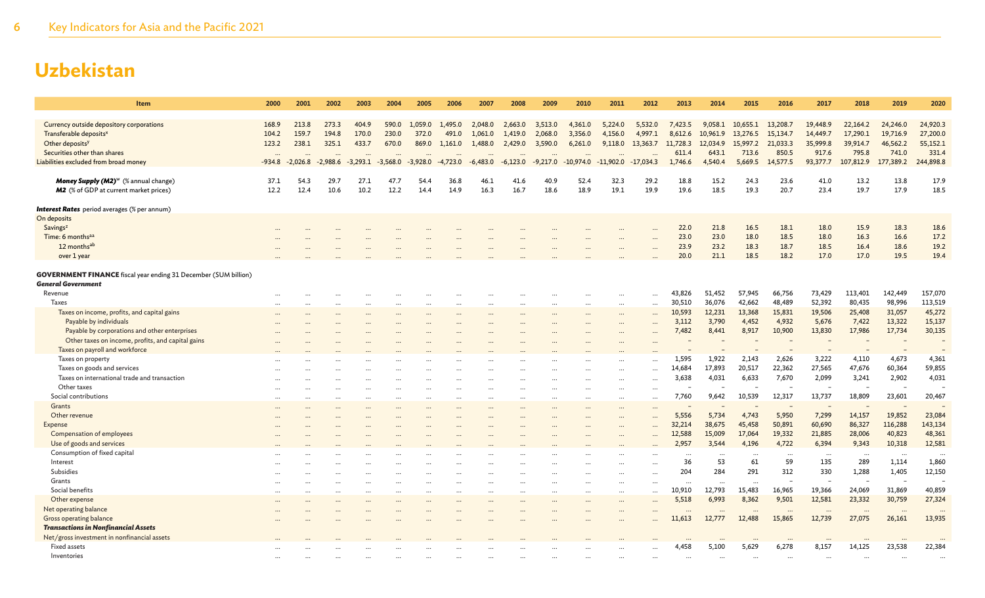| Item                                                                        | 2000      | 2001       | 2002       | 2003       | 2004       | 2005       | 2006       | 2007       | 2008       | 2009       | 2010        | 2011        | 2012                 | 2013      | 2014      | 2015             | 2016            | 2017             | 2018                     | 2019              | 2020              |
|-----------------------------------------------------------------------------|-----------|------------|------------|------------|------------|------------|------------|------------|------------|------------|-------------|-------------|----------------------|-----------|-----------|------------------|-----------------|------------------|--------------------------|-------------------|-------------------|
|                                                                             |           |            |            |            |            |            |            |            |            |            |             |             |                      |           |           |                  |                 |                  |                          |                   |                   |
| Currency outside depository corporations                                    | 168.9     | 213.8      | 273.3      | 404.9      | 590.0      | 1,059.0    | 1,495.0    | 2,048.0    | 2,663.0    | 3.513.0    | 4,361.0     | 5.224.0     | 5.532.0              | 7.423.5   | 9,058.1   | 10,655.1         | 13,208.7        | 19,448.9         | 22,164.2                 | 24,246.0          | 24,920.3          |
| Transferable deposits <sup>x</sup>                                          | 104.2     | 159.7      | 194.8      | 170.0      | 230.0      | 372.0      | 491.0      | 1,061.0    | 1,419.0    | 2,068.0    | 3,356.0     | 4,156.0     | 4,997.1              | 8,612.6   | 10,961.9  | 13,276.5         | 15,134.7        | 14,449.7         | 17,290.1                 | 19,716.9          | 27,200.0          |
| Other deposits <sup>y</sup>                                                 | 123.2     | 238.1      | 325.1      | 433.7      | 670.0      | 869.0      | 1,161.0    | 1,488.0    | 2,429.0    | 3,590.0    | 6,261.0     | 9,118.0     | 13,363.7             | 11,728.3  | 12,034.9  | 15,997.2         | 21,033.3        | 35,999.8         | 39,914.7                 | 46,562.2          | 55,152.1          |
| Securities other than shares                                                | $\cdots$  | $\ddotsc$  | $\ddotsc$  | $\ddotsc$  | $\ddotsc$  | $\ddotsc$  |            |            |            |            | $\ddotsc$   |             |                      | 611.4     | 643.1     | 713.6            | 850.5           | 917.6            | 795.8                    | 741.0             | 331.4             |
| Liabilities excluded from broad money                                       | $-934.8$  | $-2,026.8$ | $-2,988.6$ | $-3,293.1$ | $-3,568.0$ | $-3,928.0$ | $-4,723.0$ | $-6,483.0$ | $-6,123.0$ | $-9,217.0$ | $-10,974.0$ | $-11,902.0$ | $-17,034.3$          | 1.746.6   | 4,540.4   | 5,669.5          | 14,577.5        | 93,377.7         | 107,812.9                | 177,389.2         | 244,898.8         |
|                                                                             |           |            |            |            |            |            |            |            |            |            |             |             |                      |           |           |                  |                 |                  |                          |                   |                   |
| Money Supply (M2) <sup>w</sup> (% annual change)                            | 37.1      | 54.3       | 29.7       | 27.1       | 47.7       | 54.4       | 36.8       | 46.1       | 41.6       | 40.9       | 52.4        | 32.3        | 29.2                 | 18.8      | 15.2      | 24.3             | 23.6            | 41.0             | 13.2                     | 13.8              | 17.9              |
| M2 (% of GDP at current market prices)                                      | 12.2      | 12.4       | 10.6       | 10.2       | 12.2       | 14.4       | 14.9       | 16.3       | 16.7       | 18.6       | 18.9        | 19.1        | 19.9                 | 19.6      | 18.5      | 19.3             | 20.7            | 23.4             | 19.7                     | 17.9              | 18.5              |
|                                                                             |           |            |            |            |            |            |            |            |            |            |             |             |                      |           |           |                  |                 |                  |                          |                   |                   |
| <b>Interest Rates</b> period averages (% per annum)                         |           |            |            |            |            |            |            |            |            |            |             |             |                      |           |           |                  |                 |                  |                          |                   |                   |
| On deposits                                                                 |           |            |            |            |            |            |            |            |            |            |             |             |                      |           |           |                  |                 |                  |                          |                   |                   |
| Savings <sup>z</sup>                                                        |           |            |            |            |            |            |            |            |            |            |             |             |                      | 22.0      | 21.8      | 16.5             | 18.1            | 18.0             | 15.9                     | 18.3              | 18.6              |
| Time: 6 monthsaa                                                            |           |            |            |            |            |            |            |            |            |            |             |             |                      | 23.0      | 23.0      | 18.0             | 18.5            | 18.0             | 16.3                     | 16.6              | 17.2              |
| 12 monthsab                                                                 |           |            |            |            |            |            |            |            |            |            |             |             |                      | 23.9      | 23.2      | 18.3             | 18.7            | 18.5             | 16.4                     | 18.6              | 19.2              |
| over 1 year                                                                 |           |            |            |            |            |            |            |            |            |            |             |             |                      | 20.0      | 21.1      | 18.5             | 18.2            | 17.0             | 17.0                     | 19.5              | 19.4              |
|                                                                             |           |            |            |            |            |            |            |            |            |            |             |             |                      |           |           |                  |                 |                  |                          |                   |                   |
| <b>GOVERNMENT FINANCE</b> fiscal year ending 31 December (SUM billion)      |           |            |            |            |            |            |            |            |            |            |             |             |                      |           |           |                  |                 |                  |                          |                   |                   |
| <b>General Government</b>                                                   |           |            |            |            |            |            |            |            |            |            |             |             |                      |           |           |                  |                 |                  |                          |                   |                   |
| Revenue                                                                     |           |            |            |            |            |            |            |            |            |            |             |             | $\ddotsc$            | 43.826    | 51,452    | 57,945           | 66,756          | 73,429           | 113,401                  | 142,449           | 157,070           |
| Taxes                                                                       |           |            |            |            |            |            |            |            |            |            |             |             |                      | 30.510    | 36,076    | 42,662           | 48,489          | 52,392           | 80,435                   | 98,996            | 113,519           |
| Taxes on income, profits, and capital gains                                 |           |            |            |            |            |            |            |            |            |            |             |             | $\ddotsc$            | 10,593    | 12,231    | 13,368           | 15,831          | 19,506           | 25,408                   | 31,057            | 45,272            |
| Payable by individuals                                                      |           |            |            |            |            |            |            |            |            |            |             | $\cdots$    |                      | 3,112     | 3,790     | 4,452            | 4,932           | 5,676            | 7,422                    | 13,322            | 15,137            |
| Payable by corporations and other enterprises                               |           |            |            |            |            |            |            |            |            |            |             |             |                      | 7,482     | 8,441     | 8,917            | 10,900          | 13,830           | 17,986                   | 17,734            | 30,135            |
| Other taxes on income, profits, and capital gains                           |           |            |            |            |            |            |            |            |            |            |             | $\cdots$    | $\cdots$             |           |           |                  |                 |                  |                          |                   |                   |
| Taxes on payroll and workforce                                              |           |            |            |            |            |            |            |            |            |            |             |             |                      |           |           |                  |                 |                  |                          |                   |                   |
| Taxes on property                                                           |           |            |            |            |            |            |            |            |            |            |             |             |                      | 1,595     | 1,922     | 2,143            | 2,626           | 3,222            | 4,110                    | 4,673             | 4,361             |
|                                                                             |           |            |            |            |            |            |            |            |            |            |             |             |                      | 14,684    | 17,893    | 20,517           | 22,362          | 27,565           | 47,676                   | 60,364            | 59,855            |
| Taxes on goods and services<br>Taxes on international trade and transaction |           |            |            |            |            |            |            |            |            |            |             | $\cdots$    | $\ddotsc$            | 3,638     | 4,031     |                  |                 | 2,099            | 3,241                    | 2,902             | 4,031             |
| Other taxes                                                                 |           |            |            |            |            |            |            |            |            |            |             |             | $\ddotsc$            |           |           | 6,633            | 7,670           |                  |                          |                   |                   |
| Social contributions                                                        |           |            |            | $\cdots$   |            | $\cdots$   |            |            |            |            |             | $\cdots$    | $\cdots$             | 7.760     | 9,642     | 10,539           | 12,317          | 13,737           | 18,809                   | 23,601            | 20,467            |
|                                                                             | $\ddotsc$ |            |            |            |            |            |            |            |            | $\sim$     |             | $\cdots$    | $\ddotsc$            |           |           |                  |                 |                  |                          |                   |                   |
| Grants<br>Other revenue                                                     |           |            |            |            |            |            |            |            |            |            |             | $\cdots$    | $\ddotsc$            | 5,556     | 5,734     | 4,743            | 5,950           | 7,299            | 14,157                   | 19,852            | 23,084            |
|                                                                             |           |            |            |            |            |            |            |            |            |            |             |             |                      | 32.214    | 38,675    |                  | 50,891          |                  | 86,327                   |                   |                   |
| Expense<br>Compensation of employees                                        |           |            |            |            |            |            |            |            |            |            |             |             |                      | 12,588    | 15,009    | 45,458<br>17,064 | 19,332          | 60,690<br>21,885 | 28,006                   | 116,288<br>40,823 | 143,134<br>48,361 |
| Use of goods and services                                                   |           |            |            |            |            |            |            |            |            |            |             |             |                      | 2,957     | 3.544     | 4,196            | 4,722           | 6,394            | 9,343                    |                   | 12,581            |
|                                                                             |           |            |            |            |            |            |            |            |            |            |             |             |                      |           |           |                  |                 |                  |                          | 10,318            |                   |
| Consumption of fixed capital                                                |           |            |            |            |            |            |            |            |            |            |             |             |                      |           | 53        | <br>61           | $\ddotsc$<br>59 | <br>135          | <br>289                  | $\cdot \cdot$     |                   |
| Interest                                                                    |           |            |            |            |            |            |            |            |            |            |             |             |                      | 36        |           |                  |                 |                  |                          | 1,114             | 1,860             |
| Subsidies<br>Grants                                                         |           |            |            |            |            |            |            |            |            |            |             |             | $\ddotsc$            | 204       | 284       | 291              | 312             | 330              | 1,288                    | 1,405             | 12,150            |
|                                                                             |           |            | $\cdots$   | $\ddotsc$  |            |            |            |            |            |            |             |             | $\ddotsc$            | $\ddotsc$ | $\ddotsc$ | $\ddotsc$        |                 |                  | $\overline{\phantom{a}}$ |                   |                   |
| Social benefits                                                             | $\ddotsc$ | $\ddotsc$  | $\cdots$   | $\ddotsc$  |            | $\ddotsc$  |            |            |            |            |             | $\cdots$    | $\ddotsc$            | 10,910    | 12,793    | 15,483           | 16,965          | 19,366           | 24,069                   | 31,869            | 40,859            |
| Other expense                                                               |           |            |            | $\cdots$   |            |            |            |            |            |            |             | $\cdots$    | $\ddotsc$            | 5,518     | 6,993     | 8,362            | 9,501           | 12,581           | 23,332                   | 30,759            | 27,324            |
| Net operating balance                                                       |           |            |            |            |            |            |            |            |            |            |             |             | $\ddot{\phantom{a}}$ | $\ddotsc$ |           |                  | $\ddotsc$       | $\cdots$         | $\cdots$                 | $\cdot$           |                   |
| Gross operating balance                                                     |           |            |            |            |            |            |            |            |            |            |             |             |                      | 11,613    | 12,777    | 12,488           | 15,865          | 12,739           | 27,075                   | 26,161            | 13,935            |
| <b>Transactions in Nonfinancial Assets</b>                                  |           |            |            |            |            |            |            |            |            |            |             |             |                      |           |           |                  |                 |                  |                          |                   |                   |
| Net/gross investment in nonfinancial assets                                 |           |            |            |            |            |            |            |            |            |            |             |             |                      |           |           |                  |                 |                  |                          |                   |                   |
| <b>Fixed assets</b>                                                         |           |            |            |            |            |            |            |            |            |            |             |             |                      | 4,458     | 5,100     | 5.629            | 6,278           | 8,157            | 14,125                   | 23,538            | 22,384            |
| Inventories                                                                 |           |            |            |            |            |            |            |            |            |            |             |             |                      |           |           |                  |                 |                  |                          |                   |                   |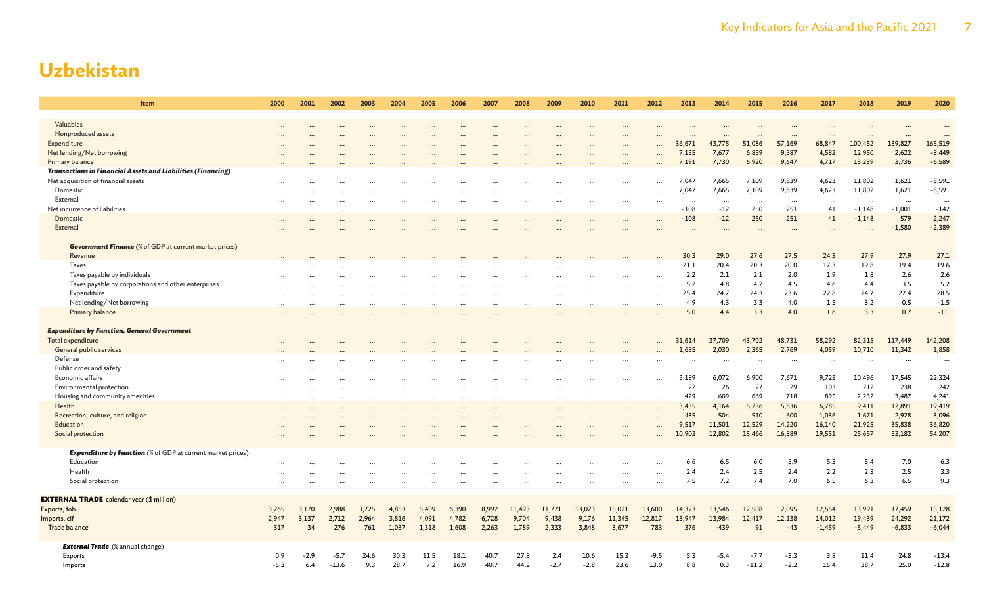| Item                                                                | 2000    | 2001      | 2002      | 2003      | 2004  | 2005     | 2006      | 2007      | 2008   | 2009      | 2010      | 2011      | 2012      | 2013        | 2014                 | 2015        | 2016        | 2017                 | 2018        | 2019        | 2020                 |
|---------------------------------------------------------------------|---------|-----------|-----------|-----------|-------|----------|-----------|-----------|--------|-----------|-----------|-----------|-----------|-------------|----------------------|-------------|-------------|----------------------|-------------|-------------|----------------------|
| Valuables                                                           |         |           |           |           |       |          |           |           |        |           |           |           |           |             |                      |             |             |                      |             |             |                      |
| Nonproduced assets                                                  |         |           |           |           |       |          |           |           |        |           |           |           |           |             |                      | $\ddotsc$   |             | $\ddotsc$            |             | $\cdots$    | $\ddot{\phantom{a}}$ |
| Expenditure                                                         |         |           |           |           |       |          |           |           |        |           |           |           |           | 36,671      | 43,775               | 51,086      | 57,169      | 68,847               | 100,452     | 139,827     | 165,519              |
| Net lending/Net borrowing                                           |         |           |           |           |       |          |           |           |        |           |           |           |           | 7,155       | 7,677                | 6,859       | 9,587       | 4,582                | 12,950      | 2,622       | $-8,449$             |
| Primary balance                                                     |         |           |           |           |       |          |           |           |        |           |           |           |           | 7,191       | 7,730                | 6,920       | 9,647       | 4,717                | 13,239      | 3,736       | $-6,589$             |
| <b>Transactions in Financial Assets and Liabilities (Financing)</b> |         |           |           |           |       |          |           |           |        |           |           |           |           |             |                      |             |             |                      |             |             |                      |
| Net acquisition of financial assets                                 |         |           |           |           |       |          |           |           |        |           |           |           |           | 7,047       | 7,665                | 7,109       | 9,839       | 4,623                | 11,802      | 1,621       | $-8,591$             |
| Domestic                                                            |         |           |           |           |       |          |           |           |        |           |           |           | $\ddotsc$ | 7,047       | 7,665                | 7,109       | 9,839       | 4,623                | 11,802      | 1,621       | $-8,591$             |
| External                                                            |         |           |           |           |       |          | $\ddotsc$ |           |        |           |           |           | $\ddots$  | $\cdots$    | $\cdots$             | $\cdots$    | $\cdots$    | $\cdots$             | $\cdots$    | $\ddotsc$   | $\ddotsc$            |
| Net incurrence of liabilities                                       |         |           | $\ddotsc$ | $\ddotsc$ |       |          | $\cdots$  |           |        |           |           |           | $\ddotsc$ | $-108$      | $-12$                | 250         | 251         | 41                   | $-1,148$    | $-1,001$    | $-142$               |
| Domestic                                                            |         |           | $\cdots$  | $\ddotsc$ |       |          | $\cdots$  |           |        |           |           | $\cdots$  | $\ddots$  | $-108$      | $-12$                | 250         | 251         | 41                   | $-1,148$    | 579         | 2,247                |
| External                                                            |         |           |           |           |       |          |           |           |        |           |           |           |           |             |                      |             |             |                      |             | $-1,580$    | $-2,389$             |
|                                                                     |         |           |           |           |       |          |           |           |        |           |           |           |           |             |                      |             |             |                      |             |             |                      |
| <b>Government Finance</b> (% of GDP at current market prices)       |         |           |           |           |       |          |           |           |        |           |           |           |           |             |                      |             |             |                      |             |             |                      |
| Revenue                                                             |         |           |           |           |       |          |           |           |        |           |           |           |           | 30.3        | 29.0                 | 27.6        | 27.5        | 24.3                 | 27.9        | 27.9        | 27.1<br>19.6         |
| Taxes                                                               |         |           |           |           |       |          |           |           |        |           |           |           |           | 21.1<br>2.2 | 20.4                 | 20.3        | 20.0<br>2.0 | 17.3<br>1.9          | 19.8        | 19.4        |                      |
| Taxes payable by individuals                                        |         |           |           |           |       |          |           |           |        |           |           |           |           |             | 2.1                  | 2.1         |             |                      | 1.8         | 2.6         | 2.6                  |
| Taxes payable by corporations and other enterprises                 |         |           |           |           |       |          |           |           |        |           |           |           | $\ddots$  | 5.2<br>25.4 | 4.8<br>24.7          | 4.2         | 4.5<br>23.6 | 4.6                  | 4.4         | 3.5<br>27.4 | 5.2                  |
| Expenditure                                                         |         |           |           |           |       |          |           |           |        |           |           | .         | $\ddots$  | 4.9         | 4.3                  | 24.3<br>3.3 | 4.0         | 22.8<br>1.5          | 24.7<br>3.2 | 0.5         | 28.5<br>$-1.5$       |
| Net lending/Net borrowing                                           |         |           |           |           |       |          |           |           |        |           |           |           | $\ddotsc$ | 5.0         | 4.4                  | 3.3         | 4.0         | 1.6                  | 3.3         | 0.7         | $-1.1$               |
| Primary balance                                                     |         |           |           |           |       |          |           |           |        |           |           |           |           |             |                      |             |             |                      |             |             |                      |
| <b>Expenditure by Function, General Government</b>                  |         |           |           |           |       |          |           |           |        |           |           |           |           |             |                      |             |             |                      |             |             |                      |
| Total expenditure                                                   |         |           |           |           |       |          |           |           |        |           |           |           |           | 31,614      | 37,709               | 43,702      | 48,731      | 58,292               | 82,315      | 117,449     | 142,208              |
| General public services                                             |         |           |           |           |       |          |           |           |        |           |           |           |           | 1,685       | 2,030                | 2,365       | 2,769       | 4,059                | 10,710      | 11,342      | 1,858                |
| Defense                                                             |         |           |           |           |       |          |           |           |        |           |           |           |           |             |                      |             | $\ddotsc$   | $\ddot{\phantom{0}}$ |             | $\ddots$    | $\ddotsc$            |
| Public order and safety                                             |         |           |           |           |       |          |           |           |        |           |           |           |           | $\ddotsc$   | $\ddot{\phantom{a}}$ | $\ddotsc$   | $\ddotsc$   | $\ddotsc$            | $\cdots$    | $\cdots$    | $\ddots$             |
| Economic affairs                                                    |         |           |           |           |       |          |           |           |        |           |           | .         | $\ddotsc$ | 5,189       | 6,072                | 6,900       | 7,671       | 9,723                | 10,496      | 17,545      | 22,324               |
| Environmental protection                                            |         |           | $\ddotsc$ | $\ddotsc$ |       |          | $\ddotsc$ |           |        | $\ddotsc$ |           |           | $\ddotsc$ | 22          | 26                   | 27          | 29          | 103                  | 212         | 238         | 242                  |
| Housing and community amenities                                     | $\cdot$ | $\ddotsc$ | $\ddotsc$ | $\ddotsc$ |       | $\cdots$ | $\cdots$  | $\ddotsc$ |        | $\cdots$  | $\ddotsc$ | $\cdots$  | $\cdots$  | 429         | 609                  | 669         | 718         | 895                  | 2,232       | 3,487       | 4,241                |
| Health                                                              |         |           |           |           |       |          |           |           |        |           |           | $\ddotsc$ | $\ddotsc$ | 3,435       | 4,164                | 5,236       | 5,836       | 6,785                | 9,411       | 12,891      | 19,419               |
| Recreation, culture, and religion                                   |         |           |           |           |       |          |           |           |        |           |           |           | $\ddotsc$ | 435         | 504                  | 510         | 600         | 1,036                | 1,671       | 2,928       | 3,096                |
| Education                                                           |         |           |           |           |       |          |           |           |        |           |           |           |           | 9,517       | 11,501               | 12,529      | 14,220      | 16,140               | 21,925      | 35,838      | 36,820               |
| Social protection                                                   |         |           |           |           |       |          |           |           |        |           |           |           | $\ddotsc$ | 10,903      | 12,802               | 15,466      | 16,889      | 19,551               | 25,657      | 33,182      | 54,207               |
|                                                                     |         |           |           |           |       |          |           |           |        |           |           |           |           |             |                      |             |             |                      |             |             |                      |
| <b>Expenditure by Function</b> (% of GDP at current market prices)  |         |           |           |           |       |          |           |           |        |           |           |           |           |             |                      |             |             |                      |             |             |                      |
| Education                                                           |         |           |           |           |       |          |           |           |        |           |           |           |           | 6.6         | 6.5                  | 6.0         | 5.9         | 5.3                  | 5.4         | 7.0         | 6.3                  |
| Health                                                              |         |           |           |           |       |          |           |           |        |           |           |           | $\ddotsc$ | 2.4         | 2.4                  | 2.5         | 2.4         | 2.2                  | 2.3         | 2.5         | 3.3                  |
| Social protection                                                   |         |           |           |           |       |          |           |           |        |           |           |           |           | 7.5         | 7.2                  | 7.4         | 7.0         | 6.5                  | 6.3         | 6.5         | 9.3                  |
| <b>EXTERNAL TRADE</b> calendar year (\$ million)                    |         |           |           |           |       |          |           |           |        |           |           |           |           |             |                      |             |             |                      |             |             |                      |
| Exports, fob                                                        | 3,265   | 3,170     | 2,988     | 3,725     | 4,853 | 5,409    | 6,390     | 8,992     | 11,493 | 11,771    | 13,023    | 15,021    | 13,600    | 14,323      | 13,546               | 12,508      | 12,095      | 12,554               | 13,991      | 17,459      | 15,128               |
| Imports, cif                                                        | 2,947   | 3,137     | 2,712     | 2,964     | 3,816 | 4,091    | 4,782     | 6,728     | 9,704  | 9,438     | 9,176     | 11,345    | 12,817    | 13,947      | 13,984               | 12,417      | 12,138      | 14,012               | 19,439      | 24,292      | 21,172               |
| Trade balance                                                       | 317     | 34        | 276       | 761       | 1,037 | 1,318    | 1,608     | 2,263     | 1,789  | 2,333     | 3,848     | 3,677     | 783       | 376         | $-439$               | 91          | $-43$       | $-1,459$             | $-5,449$    | $-6,833$    | $-6,044$             |
|                                                                     |         |           |           |           |       |          |           |           |        |           |           |           |           |             |                      |             |             |                      |             |             |                      |
| <b>External Trade</b> (% annual change)                             |         |           |           |           |       |          |           |           |        |           |           |           |           |             |                      |             |             |                      |             |             |                      |
| Exports                                                             | 0.9     | $-2.9$    | $-5.7$    | 24.6      | 30.3  | 11.5     | 18.1      | 40.7      | 27.8   | 2.4       | 10.6      | 15.3      | $-9.5$    | 5.3         | $-5.4$               | $-7.7$      | $-3.3$      | 3.8                  | 11.4        | 24.8        | $-13.4$              |
| Imports                                                             | $-5.3$  | 6.4       | $-13.6$   | 9.3       | 28.7  | 7.2      | 16.9      | 40.7      | 44.2   | $-2.7$    | $-2.8$    | 23.6      | 13.0      | 8.8         | 0.3                  | $-11.2$     | $-2.2$      | 15.4                 | 38.7        | 25.0        | $-12.8$              |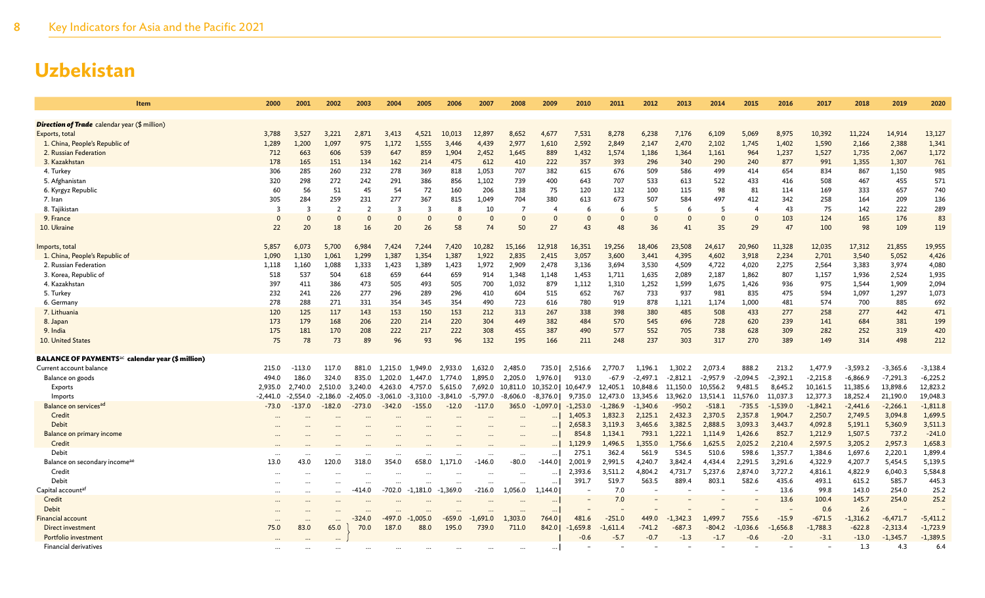| Item                                                         | 2000       | 2001                    | 2002           | 2003           | 2004           | 2005           | 2006       | 2007       | 2008           | 2009           | 2010               | 2011       | 2012                     | 2013                     | 2014                     | 2015                     | 2016       | 2017       | 2018       | 2019       | 2020       |
|--------------------------------------------------------------|------------|-------------------------|----------------|----------------|----------------|----------------|------------|------------|----------------|----------------|--------------------|------------|--------------------------|--------------------------|--------------------------|--------------------------|------------|------------|------------|------------|------------|
| <b>Direction of Trade</b> calendar year (\$ million)         |            |                         |                |                |                |                |            |            |                |                |                    |            |                          |                          |                          |                          |            |            |            |            |            |
| Exports, total                                               | 3,788      | 3,527                   | 3,221          | 2,871          | 3.413          | 4,521          | 10,013     | 12,897     | 8,652          | 4,677          | 7,531              | 8,278      | 6,238                    | 7,176                    | 6,109                    | 5,069                    | 8,975      | 10,392     | 11,224     | 14,914     | 13,127     |
| 1. China, People's Republic of                               | 1,289      | 1,200                   | 1,097          | 975            | 1,172          | 1,555          | 3,446      | 4,439      | 2,977          | 1,610          | 2,592              | 2,849      | 2,147                    | 2,470                    | 2,102                    | 1,745                    | 1,402      | 1,590      | 2,166      | 2,388      | 1,341      |
| 2. Russian Federation                                        | 712        | 663                     | 606            | 539            | 647            | 859            | 1,904      | 2,452      | 1,645          | 889            | 1,432              | 1,574      | 1,186                    | 1,364                    | 1,161                    | 964                      | 1,237      | 1,527      | 1,735      | 2,067      | 1,172      |
| 3. Kazakhstan                                                | 178        | 165                     | 151            | 134            | 162            | 214            | 475        | 612        | 410            | 222            | 357                | 393        | 296                      | 340                      | 290                      | 240                      | 877        | 991        | 1,355      | 1,307      | 761        |
| 4. Turkey                                                    | 306        | 285                     | 260            | 232            | 278            | 369            | 818        | 1,053      | 707            | 382            | 615                | 676        | 509                      | 586                      | 499                      | 414                      | 654        | 834        | 867        | 1,150      | 985        |
| 5. Afghanistan                                               | 320        | 298                     | 272            | 242            | 291            | 386            | 856        | 1,102      | 739            | 400            | 643                | 707        | 533                      | 613                      | 522                      | 433                      | 416        | 508        | 467        | 455        | 571        |
| 6. Kyrgyz Republic                                           | 60         | 56                      | 51             | 45             | 54             | 72             | 160        | 206        | 138            | 75             | 120                | 132        | 100                      | 115                      | 98                       | 81                       | 114        | 169        | 333        | 657        | 740        |
| 7. Iran                                                      | 305        | 284                     | 259            | 231            | 277            | 367            | 815        | 1,049      | 704            | 380            | 613                | 673        | 507                      | 584                      | 497                      | 412                      | 342        | 258        | 164        | 209        | 136        |
| 8. Tajikistan                                                | 3          | $\overline{\mathbf{3}}$ | $\overline{2}$ | $\overline{2}$ | $\overline{3}$ | $\overline{3}$ | -8         | 10         | $\overline{7}$ | $\overline{4}$ | 6                  | 6          | 5                        | 6                        | 5                        | $\overline{4}$           | 43         | 75         | 142        | 222        | 289        |
| 9. France                                                    |            | $\Omega$                | $\Omega$       | $\Omega$       | $\Omega$       | $\Omega$       | $\circ$    | $\Omega$   | $\Omega$       | $\Omega$       | $\Omega$           | $\Omega$   | $\Omega$                 | $\Omega$                 | $\mathbf 0$              | $\Omega$                 | 103        | 124        | 165        | 176        | 83         |
| 10. Ukraine                                                  | 22         | 20                      | 18             | 16             | 20             | 26             | 58         | 74         | 50             | 27             | 43                 | 48         | 36                       | 41                       | 35                       | 29                       | 47         | 100        | 98         | 109        | 119        |
| Imports, total                                               | 5,857      | 6.073                   | 5.700          | 6,984          | 7.424          | 7.244          | 7,420      | 10.282     | 15,166         | 12,918         | 16,351             | 19,256     | 18,406                   | 23,508                   | 24,617                   | 20,960                   | 11,328     | 12,035     | 17,312     | 21,855     | 19,955     |
| 1. China, People's Republic of                               | 1,090      | 1,130                   | 1,061          | 1,299          | 1,387          | 1,354          | 1,387      | 1,922      | 2,835          | 2,415          | 3,057              | 3,600      | 3,441                    | 4,395                    | 4,602                    | 3,918                    | 2,234      | 2,701      | 3,540      | 5,052      | 4,426      |
| 2. Russian Federation                                        | 1,118      | 1,160                   | 1,088          | 1,333          | 1,423          | 1,389          | 1,423      | 1,972      | 2,909          | 2,478          | 3,136              | 3,694      | 3,530                    | 4,509                    | 4,722                    | 4,020                    | 2,275      | 2,564      | 3,383      | 3,974      | 4,080      |
| 3. Korea, Republic of                                        | 518        | 537                     | 504            | 618            | 659            | 644            | 659        | 914        | 1,348          | 1,148          | 1,453              | 1,711      | 1,635                    | 2,089                    | 2,187                    | 1,862                    | 807        | 1,157      | 1,936      | 2,524      | 1,935      |
| 4. Kazakhstan                                                | 397        | 411                     | 386            | 473            | 505            | 493            | 505        | 700        | 1,032          | 879            | 1,112              | 1,310      | 1,252                    | 1,599                    | 1,675                    | 1,426                    | 936        | 975        | 1,544      | 1,909      | 2,094      |
| 5. Turkey                                                    | 232        | 241                     | 226            | 277            | 296            | 289            | 296        | 410        | 604            | 515            | 652                | 767        | 733                      | 937                      | 981                      | 835                      | 475        | 594        | 1,097      | 1,297      | 1,073      |
| 6. Germany                                                   | 278        | 288                     | 271            | 331            | 354            | 345            | 354        | 490        | 723            | 616            | 780                | 919        | 878                      | 1,121                    | 1,174                    | 1,000                    | 481        | 574        | 700        | 885        | 692        |
| 7. Lithuania                                                 | 120        | 125                     | 117            | 143            | 153            | 150            | 153        | 212        | 313            | 267            | 338                | 398        | 380                      | 485                      | 508                      | 433                      | 277        | 258        | 277        | 442        | 471        |
| 8. Japan                                                     | 173        | 179                     | 168            | 206            | 220            | 214            | 220        | 304        | 449            | 382            | 484                | 570        | 545                      | 696                      | 728                      | 620                      | 239        | 141        | 684        | 381        | 199        |
| 9. India                                                     | 175        | 181                     | 170            | 208            | 222            | 217            | 222        | 308        | 455            | 387            | 490                | 577        | 552                      | 705                      | 738                      | 628                      | 309        | 282        | 252        | 319        | 420        |
| 10. United States                                            | 75         | 78                      | 73             | 89             | 96             | 93             | 96         | 132        | 195            | 166            | 211                | 248        | 237                      | 303                      | 317                      | 270                      | 389        | 149        | 314        | 498        | 212        |
| BALANCE OF PAYMENTS <sup>ac</sup> calendar year (\$ million) |            |                         |                |                |                |                |            |            |                |                |                    |            |                          |                          |                          |                          |            |            |            |            |            |
| Current account balance                                      | 215.0      | $-113.0$                | 117.0          | 881.0          | 1,215.0        | 1,949.0        | 2,933.0    | 1,632.0    | 2,485.0        | 735.0          | 2,516.6            | 2,770.7    | 1,196.1                  | 1,302.2                  | 2,073.4                  | 888.2                    | 213.2      | 1,477.9    | -3,593.2   | $-3,365.6$ | $-3,138.4$ |
| Balance on goods                                             | 494.0      | 186.0                   | 324.0          | 835.0          | 1.202.0        | 1,447.0        | 1,774.0    | 1,895.0    | 2,205.0        | 1,976.0        | 913.0              | $-67.9$    | $-2,497.1$               | $-2,812.1$               | $-2,957.9$               | $-2,094.5$               | $-2.392.1$ | $-2,215.8$ | $-6,866.9$ | $-7,291.3$ | $-6,225.2$ |
| Exports                                                      | 2.935.0    | 2.740.0                 | 2.510.0        | 3.240.0        | 4.263.0        | 4,757.0        | 5.615.0    | 7,692.0    | 10,811.0       |                | 10.352.01 10.647.9 | 12,405.1   | 10.848.6                 | 11.150.0                 | 10.556.2                 | 9,481.5                  | 8.645.2    | 10,161.5   | 11,385.6   | 13,898.6   | 12,823.2   |
| Imports                                                      | $-2.441.0$ | $-2.554.0$              | $-2.186.0$     | $-2,405.0$     | $-3.061.0$     | -3,310.0       | $-3,841.0$ | $-5,797.0$ | $-8,606.0$     | $-8,376.0$     | 9,735.0            | 12,473.0   | 13.345.6                 | 13,962.0                 | 13,514.1                 | 11,576.0                 | 11,037.3   | 12,377.3   | 18,252.4   | 21,190.0   | 19,048.3   |
| Balance on services <sup>ac</sup>                            | -73.0      | $-137.0$                | $-182.0$       | $-273.0$       | $-342.0$       | $-155.0$       | $-12.0$    | $-117.0$   | 365.0          | $-1,097.0$     | $-1,253.0$         | $-1,286.9$ | $-1,340.6$               | $-950.2$                 | $-518.1$                 | $-735.5$                 | $-1,539.0$ | $-1,842.1$ | $-2,441.6$ | $-2,266.1$ | $-1,811.8$ |
| Credit                                                       |            |                         |                |                |                |                |            |            |                |                | 1,405.3            | 1,832.3    | 2,125.1                  | 2,432.3                  | 2,370.5                  | 2,357.8                  | 1,904.7    | 2,250.7    | 2,749.5    | 3,094.8    | 1,699.5    |
| <b>Debit</b>                                                 |            |                         |                |                |                |                |            |            |                |                | 2.658.3            | 3.119.3    | 3.465.6                  | 3.382.5                  | 2.888.5                  | 3.093.3                  | 3.443.7    | 4,092.8    | 5,191.1    | 5,360.9    | 3,511.3    |
| Balance on primary income                                    |            |                         |                |                |                |                |            |            |                |                | 854.8              | 1,134.1    | 793.1                    | 1,222.1                  | 1,114.9                  | 1,426.6                  | 852.7      | 1,212.9    | 1,507.5    | 737.2      | $-241.0$   |
| Credit                                                       |            |                         |                |                |                |                |            |            |                |                | 1.129.9            | 1.496.5    | 1,355.0                  | 1,756.6                  | 1,625.5                  | 2,025.2                  | 2.210.4    | 2,597.5    | 3,205.2    | 2,957.3    | 1,658.3    |
| Debit                                                        | $\cdots$   | $\cdots$                |                | $\ddotsc$      |                | $\ddotsc$      | $\ddotsc$  |            |                | $\cdots$       | 275.1              | 362.4      | 561.9                    | 534.5                    | 510.6                    | 598.6                    | 1,357.7    | 1,384.6    | 1,697.6    | 2,220.1    | 1,899.4    |
| Balance on secondary incomeae                                | 13.0       | 43.0                    | 120.0          | 318.0          | 354.0          | 658.0          | 1.171.0    | $-146.0$   | $-80.0$        | $-144.0$       | 2.001.9            | 2.991.5    | 4,240.7                  | 3.842.4                  | 4.434.4                  | 2,291.5                  | 3.291.6    | 4,322.9    | 4,207.7    | 5,454.5    | 5,139.5    |
| Credit                                                       |            |                         |                |                |                |                |            |            |                |                | 2,393.6            | 3.511.2    | 4,804.2                  | 4,731.7                  | 5,237.6                  | 2,874.0                  | 3,727.2    | 4,816.1    | 4,822.9    | 6,040.3    | 5,584.8    |
| Debit                                                        |            |                         |                |                |                |                |            |            |                |                | 391.7              | 519.7      | 563.5                    | 889.4                    | 803.1                    | 582.6                    | 435.6      | 493.1      | 615.2      | 585.7      | 445.3      |
| Capital account <sup>af</sup>                                | $\cdots$   | $\cdots$                |                | 14.0           | $-702.0$       | -1,181.0       | $-1,369.0$ | $-216.0$   | 1,056.0        | 1,144.0        |                    | 7.0        | $\overline{\phantom{a}}$ | $\overline{\phantom{a}}$ | $\overline{\phantom{a}}$ | $\overline{\phantom{a}}$ | 13.6       | 99.8       | 143.0      | 254.0      | 25.2       |
| Credit                                                       |            |                         |                |                |                |                |            |            |                |                |                    | 7.0        |                          |                          |                          |                          | 13.6       | 100.4      | 145.7      | 254.0      | 25.2       |
| <b>Debit</b>                                                 |            |                         |                |                |                |                |            |            |                |                |                    |            |                          |                          |                          |                          |            | 0.6        | 2.6        |            |            |
| Financial account                                            |            | $\cdots$                |                | -324.0         | -497.0         | $-1.005.0$     | -659.0     | $-1,691.0$ | 1,303.0        | 764.0          | 481.6              | $-251.0$   | 449.0                    | $-1,342.3$               | 1.499.7                  | 755.6                    | $-15.9$    | $-671.5$   | $-1,316.2$ | $-6,471.7$ | $-5,411.2$ |
| Direct investment                                            | 75.0       | 83.0                    | 65.0           | 70.0           | 187.0          | 88.0           | 195.0      | 739.0      | 711.0          | 842.0          | $-1,659.8$         | $-1,611.4$ | $-741.2$                 | -687.3                   | $-804.2$                 | $-1,036.6$               | $-1,656.8$ | $-1,788.3$ | $-622.8$   | $-2,313.4$ | $-1,723.9$ |
| Portfolio investment                                         |            |                         | $\cdots$       |                |                |                |            |            |                |                | $-0.6$             | $-5.7$     | $-0.7$                   | $-1.3$                   | $-1.7$                   | $-0.6$                   | $-2.0$     | $-3.1$     | $-13.0$    | $-1,345.7$ | $-1,389.5$ |
| <b>Financial derivatives</b>                                 |            |                         | $\ddotsc$      | $\ddotsc$      | $\ddotsc$      |                | $\ddotsc$  |            |                |                |                    |            |                          |                          |                          |                          |            |            | 1.3        | 4.3        | 6.4        |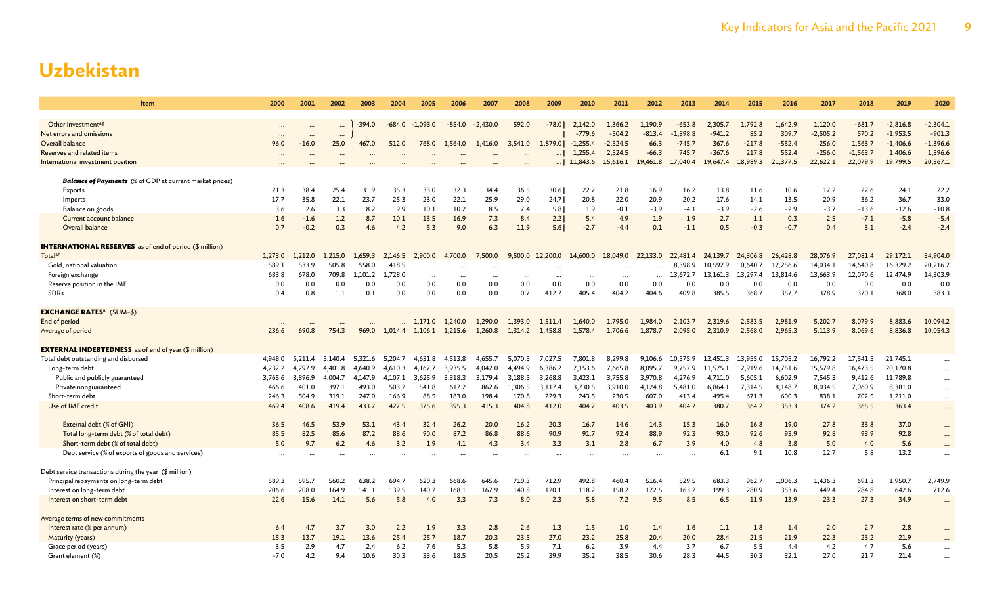| <b>Item</b>                                                               | 2000               | 2001               | 2002               | 2003               | 2004               | 2005                   | 2006               | 2007               | 2008               | 2009               | 2010                | 2011                  | 2012                | 2013                   | 2014                | 2015                | 2016                | 2017                  | 2018                | 2019                     | 2020                   |
|---------------------------------------------------------------------------|--------------------|--------------------|--------------------|--------------------|--------------------|------------------------|--------------------|--------------------|--------------------|--------------------|---------------------|-----------------------|---------------------|------------------------|---------------------|---------------------|---------------------|-----------------------|---------------------|--------------------------|------------------------|
|                                                                           |                    |                    |                    |                    |                    |                        |                    |                    |                    |                    |                     |                       |                     |                        |                     |                     |                     |                       |                     |                          |                        |
| Other investment <sup>ag</sup><br>Net errors and omissions                |                    |                    | $\cdots$           | $-394.0$           | $-684.0$           | $-1.093.0$             | $-854.0$           | $-2,430.0$         | 592.0              | $-78.0$            | 2,142.0<br>$-779.6$ | 1,366.2<br>$-504.2$   | 1.190.9<br>$-813.4$ | $-653.8$<br>$-1,898.8$ | 2,305.7<br>$-941.2$ | 1,792.8<br>85.2     | 1.642.9<br>309.7    | 1,120.0<br>$-2,505.2$ | $-681.7$<br>570.2   | $-2,816.8$<br>$-1,953.5$ | $-2,304.1$<br>$-901.3$ |
| Overall balance                                                           | 96.0               | -16.0              | $\cdots$<br>25.0   | 467.0              | 512.0              | 768.0                  | 1,564.0            | 1,416.0            | 3,541.0            | 1,879.0            | $-1,255.4$          | $-2,524.5$            | 66.3                | $-745.7$               | 367.6               | $-217.8$            | $-552.4$            | 256.0                 | 1,563.7             | $-1,406.6$               | $-1,396.6$             |
| Reserves and related items                                                |                    |                    |                    |                    |                    |                        |                    |                    |                    | $\cdots$           | 1,255.4             | 2,524.5               | $-66.3$             | 745.7                  | $-367.6$            | 217.8               | 552.4               | $-256.0$              | $-1,563.7$          | 1,406.6                  | 1,396.6                |
| International investment position                                         |                    |                    |                    |                    |                    |                        |                    |                    |                    |                    | 11,843.6            | 15,616.1              | 19,461.8            | 17,040.4               | 19,647.4            | 18,989.3            | 21,377.5            | 22,622.1              | 22,079.9            | 19,799.5                 | 20,367.1               |
|                                                                           |                    |                    |                    |                    |                    |                        |                    |                    |                    |                    |                     |                       |                     |                        |                     |                     |                     |                       |                     |                          |                        |
| <b>Balance of Payments</b> (% of GDP at current market prices)            |                    |                    |                    |                    |                    |                        |                    |                    |                    |                    |                     |                       |                     |                        |                     |                     |                     |                       |                     |                          |                        |
| Exports                                                                   | 21.3               | 38.4               | 25.4               | 31.9               | 35.3               | 33.0                   | 32.3               | 34.4               | 36.5               | 30.6               | 22.7                | 21.8                  | 16.9                | 16.2                   | 13.8                | 11.6                | 10.6                | 17.2                  | 22.6                | 24.1                     | 22.2                   |
| Imports                                                                   | 17.7               | 35.8               | 22.1               | 23.7               | 25.3               | 23.0                   | 22.1               | 25.9               | 29.0               | 24.7               | 20.8                | 22.0                  | 20.9                | 20.2                   | 17.6                | 14.1                | 13.5                | 20.9                  | 36.2                | 36.7                     | 33.0                   |
| Balance on goods                                                          | 3.6                | 2.6                | 3.3                | 8.2                | 9.9                | 10.1                   | 10.2               | 8.5                | 7.4                | 5.8                | 1.9                 | $-0.1$                | $-3.9$              | $-4.1$                 | $-3.9$              | $-2.6$              | $-2.9$              | $-3.7$                | $-13.6$             | $-12.6$                  | $-10.8$                |
| Current account balance                                                   | 1.6                | $-1.6$             | 1.2                | 8.7                | 10.1               | 13.5                   | 16.9               | 7.3                | 8.4                | 2.2                | 5.4                 | 4.9                   | 1.9                 | 1.9                    | 2.7                 | 1.1                 | 0.3                 | 2.5                   | $-7.1$              | $-5.8$                   | $-5.4$                 |
| Overall balance                                                           | 0.7                | $-0.2$             | 0.3                | 4.6                | 4.2                | 5.3                    | 9.0                | 6.3                | 11.9               | 5.6                | $-2.7$              | $-4.4$                | 0.1                 | $-1.1$                 | 0.5                 | $-0.3$              | $-0.7$              | 0.4                   | 3.1                 | $-2.4$                   | $-2.4$                 |
|                                                                           |                    |                    |                    |                    |                    |                        |                    |                    |                    |                    |                     |                       |                     |                        |                     |                     |                     |                       |                     |                          |                        |
| <b>INTERNATIONAL RESERVES</b> as of end of period (\$ million)<br>Totalah | 1.273.0            | 1.212.0            | 1.215.0            | 1,659.3            | 2,146.5            | 2,900.0                | 4,700.0            | 7,500.0            |                    | 9,500.0 12,200.0   | 14,600.0            | 18,049.0 22,133.0     |                     | 22,481.4               | 24.139.7            | 24,306.8            | 26,428.8            | 28,076.9              | 27,081.4            | 29,172.1                 | 34,904.0               |
| Gold, national valuation                                                  | 589.1              | 533.9              | 505.8              | 558.0              | 418.5              |                        |                    |                    |                    |                    |                     |                       |                     | 8,398.9                | 10,592.9            | 10,640.7            | 12,256.6            | 14,034.1              | 14,640.8            | 16,329.2                 | 20,216.7               |
| Foreign exchange                                                          | 683.8              | 678.0              | 709.8              | 1,101.2            | ,728.0             | $\ddotsc$<br>$\ddotsc$ | $\ddotsc$<br>      | $\cdots$           | $\cdots$           | <br>$\cdots$       | $\ddotsc$           | $\ddotsc$<br>$\cdots$ | $\cdots$            | 13,672.7               | 13,161.3            | 13,297.4            | 13,814.6            | 13,663.9              | 12,070.6            | 12,474.9                 | 14,303.9               |
| Reserve position in the IMF                                               | 0.0                | 0.0                | 0.0                | 0.0                | 0.0                | 0.0                    | 0.0                | 0.0                | 0.0                | 0.0                | 0.0                 | 0.0                   | 0.0                 | 0.0                    | 0.0                 | 0.0                 | 0.0                 | 0.0                   | 0.0                 | 0.0                      | 0.0                    |
| SDRs                                                                      | 0.4                | 0.8                | 1.1                | 0.1                | 0.0                | 0.0                    | 0.0                | 0.0                | 0.7                | 412.7              | 405.4               | 404.2                 | 404.6               | 409.8                  | 385.5               | 368.7               | 357.7               | 378.9                 | 370.1               | 368.0                    | 383.3                  |
|                                                                           |                    |                    |                    |                    |                    |                        |                    |                    |                    |                    |                     |                       |                     |                        |                     |                     |                     |                       |                     |                          |                        |
| <b>EXCHANGE RATESai</b> (SUM-\$)                                          |                    |                    |                    |                    |                    |                        |                    |                    |                    |                    |                     |                       |                     |                        |                     |                     |                     |                       |                     |                          |                        |
| End of period                                                             |                    |                    |                    |                    |                    | 1,171.0                | 1,240.0            | 1,290.0            | 1,393.0            | 1,511.4            | 1,640.0             | 1,795.0               | 1,984.0             | 2,103.7                | 2,319.6             | 2,583.5             | 2,981.9             | 5,202.7               | 8,079.9             | 8,883.6                  | 10,094.2               |
| Average of period                                                         | 236.6              | 690.8              | 754.3              | 969.0              |                    | 1,014.4 1,106.1        | 1,215.6            | 1,260.8            | 1,314.2            | 1,458.8            | 1,578.4             | 1,706.6               | 1,878.7             | 2,095.0                | 2,310.9             | 2,568.0             | 2,965.3             | 5,113.9               | 8,069.6             | 8,836.8                  | 10,054.3               |
|                                                                           |                    |                    |                    |                    |                    |                        |                    |                    |                    |                    |                     |                       |                     |                        |                     |                     |                     |                       |                     |                          |                        |
| <b>EXTERNAL INDEBTEDNESS</b> as of end of year (\$ million)               |                    |                    |                    |                    |                    |                        |                    |                    |                    |                    |                     |                       |                     |                        |                     |                     |                     |                       |                     |                          |                        |
| Total debt outstanding and disbursed                                      | 4.948.0            | 5,211.4            | 5,140.4            | 5,321.6            | 5.204.7            | 4,631.8                | 4,513.8            | 4,655.7            | 5,070.5            | 7,027.5            | 7,801.8             | 8,299.8               | 9,106.6             | 10,575.9               | 12,451.3            | 13,955.0            | 15,705.2            | 16,792.2              | 17,541.5            | 21,745.1                 | $\cdots$               |
| Long-term debt<br>Public and publicly guaranteed                          | 4,232.2<br>3.765.6 | 4,297.9<br>3.896.9 | 4,401.8<br>4,004.7 | 4.640.9<br>4.147.9 | 4,610.3<br>4.107.1 | 4.167.7<br>3.625.9     | 3,935.5<br>3,318.3 | 4,042.0<br>3.179.4 | 4,494.9<br>3.188.5 | 6,386.2<br>3,268.8 | 7,153.6<br>3,423.1  | 7,665.8<br>3,755.8    | 8,095.7<br>3.970.8  | 9,757.9<br>4,276.9     | 11,575.1<br>4,711.0 | 12,919.6<br>5,605.1 | 14,751.6<br>6,602.9 | 15,579.8<br>7,545.3   | 16,473.5<br>9,412.6 | 20,170.8<br>11,789.8     | $\cdots$               |
| Private nonguaranteed                                                     | 466.6              | 401.0              | 397.1              | 493.0              | 503.2              | 541.8                  | 617.2              | 862.6              | 1,306.5            | 3,117.4            | 3,730.5             | 3,910.0               | 4,124.8             | 5,481.0                | 6,864.1             | 7,314.5             | 8,148.7             | 8,034.5               | 7,060.9             | 8,381.0                  | $\cdots$               |
| Short-term debt                                                           | 246.3              | 504.9              | 319.1              | 247.0              | 166.9              | 88.5                   | 183.0              | 198.4              | 170.8              | 229.3              | 243.5               | 230.5                 | 607.0               | 413.4                  | 495.4               | 671.3               | 600.3               | 838.1                 | 702.5               | 1,211.0                  | $\cdots$               |
| Use of IMF credit                                                         | 469.4              | 408.6              | 419.4              | 433.7              | 427.5              | 375.6                  | 395.3              | 415.3              | 404.8              | 412.0              | 404.7               | 403.5                 | 403.9               | 404.7                  | 380.7               | 364.2               | 353.3               | 374.2                 | 365.5               | 363.4                    | $\cdots$<br>$\cdots$   |
|                                                                           |                    |                    |                    |                    |                    |                        |                    |                    |                    |                    |                     |                       |                     |                        |                     |                     |                     |                       |                     |                          |                        |
| External debt (% of GNI)                                                  | 36.5               | 46.5               | 53.9               | 53.1               | 43.4               | 32.4                   | 26.2               | 20.0               | 16.2               | 20.3               | 16.7                | 14.6                  | 14.3                | 15.3                   | 16.0                | 16.8                | 19.0                | 27.8                  | 33.8                | 37.0                     | $\ldots$               |
| Total long-term debt (% of total debt)                                    | 85.5               | 82.5               | 85.6               | 87.2               | 88.6               | 90.0                   | 87.2               | 86.8               | 88.6               | 90.9               | 91.7                | 92.4                  | 88.9                | 92.3                   | 93.0                | 92.6                | 93.9                | 92.8                  | 93.9                | 92.8                     | $\cdots$               |
| Short-term debt (% of total debt)                                         | 5.0                | 9.7                | 6.2                | 4.6                | 3.2                | 1.9                    | 4.1                | 4.3                | 3.4                | 3.3                | 3.1                 | 2.8                   | 6.7                 | 3.9                    | 4.0                 | 4.8                 | 3.8                 | 5.0                   | 4.0                 | 5.6                      |                        |
| Debt service (% of exports of goods and services)                         | $\cdots$           |                    |                    |                    |                    |                        |                    |                    |                    |                    |                     |                       |                     |                        | 6.1                 | 9.1                 | 10.8                | 12.7                  | 5.8                 | 13.2                     | $\cdots$               |
|                                                                           |                    |                    |                    |                    |                    |                        |                    |                    |                    |                    |                     |                       |                     |                        |                     |                     |                     |                       |                     |                          |                        |
| Debt service transactions during the year (\$ million)                    |                    |                    |                    |                    |                    |                        |                    |                    |                    |                    |                     |                       |                     |                        |                     |                     |                     |                       |                     |                          |                        |
| Principal repayments on long-term debt                                    | 589.3              | 595.7              | 560.2              | 638.2              | 694.7              | 620.3                  | 668.6              | 645.6              | 710.3              | 712.9              | 492.8               | 460.4                 | 516.4               | 529.5                  | 683.3               | 962.7               | 1,006.3             | 1,436.3               | 691.3               | 1,950.7                  | 2,749.9                |
| Interest on long-term debt                                                | 206.6              | 208.0              | 164.9              | 141.1              | 139.5              | 140.2                  | 168.1              | 167.9              | 140.8              | 120.1              | 118.2               | 158.2                 | 172.5               | 163.2                  | 199.3               | 280.9               | 353.6               | 449.4                 | 284.8               | 642.6                    | 712.6                  |
| Interest on short-term debt                                               | 22.6               | 15.6               | 14.1               | 5.6                | 5.8                | 4.0                    | 3.3                | 7.3                | 8.0                | 2.3                | 5.8                 | 7.2                   | 9.5                 | 8.5                    | 6.5                 | 11.9                | 13.9                | 23.3                  | 27.3                | 34.9                     | $\ddotsc$              |
| Average terms of new commitments                                          |                    |                    |                    |                    |                    |                        |                    |                    |                    |                    |                     |                       |                     |                        |                     |                     |                     |                       |                     |                          |                        |
| Interest rate (% per annum)                                               | 6.4                | 4.7                | 3.7                | 3.0                | 2.2                | 1.9                    | 3.3                | 2.8                | 2.6                | 1.3                | 1.5                 | 1.0                   | 1.4                 | 1.6                    | 1.1                 | 1.8                 | 1.4                 | 2.0                   | 2.7                 | 2.8                      |                        |
| Maturity (years)                                                          | 15.3               | 13.7               | 19.1               | 13.6               | 25.4               | 25.7                   | 18.7               | 20.3               | 23.5               | 27.0               | 23.2                | 25.8                  | 20.4                | 20.0                   | 28.4                | 21.5                | 21.9                | 22.3                  | 23.2                | 21.9                     | $\cdots$               |
| Grace period (years)                                                      | 3.5                | 2.9                | 4.7                | 2.4                | 6.2                | 7.6                    | 5.3                | 5.8                | 5.9                | 7.1                | 6.2                 | 3.9                   | 4.4                 | 3.7                    | 6.7                 | 5.5                 | 4.4                 | 4.2                   | 4.7                 | 5.6                      |                        |
| Grant element (%)                                                         | $-7.0$             | 4.2                | 9.4                | 10.6               | 30.3               | 33.6                   | 18.5               | 20.5               | 25.2               | 39.9               | 35.2                | 38.5                  | 30.6                | 28.3                   | 44.5                | 30.3                | 32.1                | 27.0                  | 21.7                | 21.4                     |                        |
|                                                                           |                    |                    |                    |                    |                    |                        |                    |                    |                    |                    |                     |                       |                     |                        |                     |                     |                     |                       |                     |                          |                        |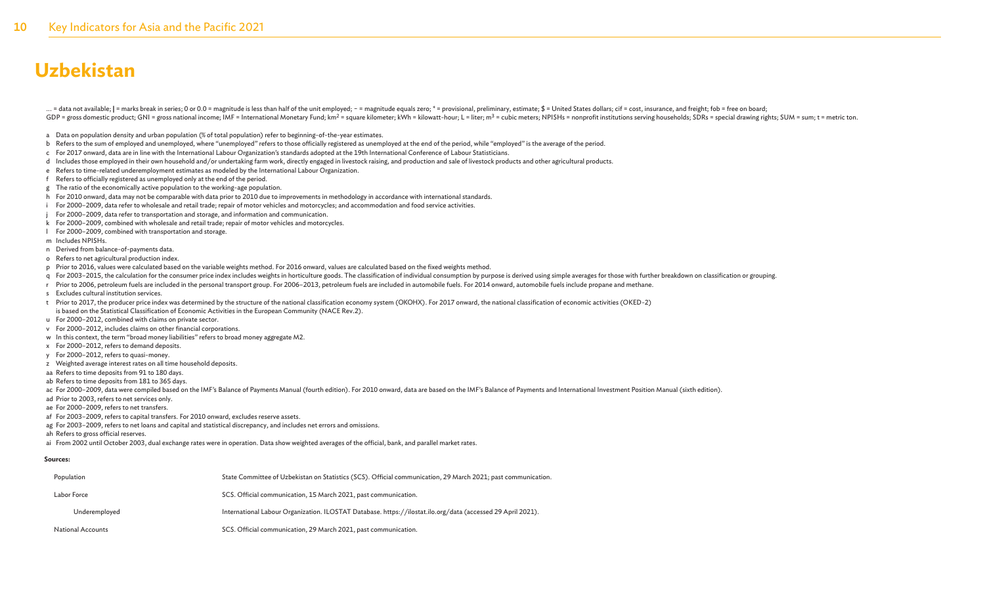... = data not available; | = marks break in series; 0 or 0.0 = magnitude is less than half of the unit employed; - = magnitude equals zero; \* = provisional, preliminary, estimate; \$ = United States dollars; cif = cost, in GDP = gross domestic product; GNI = gross national income; IMF = International Monetary Fund; km<sup>2</sup> = square kilometer; kWh = kilowatt-hour; L = liter; m<sup>3</sup> = cubic meters; NPISHs = nonprofit institutions serving household

- a Data on population density and urban population (% of total population) refer to beginning-of-the-year estimates.
- b Refers to the sum of employed and unemployed, where "unemployed" refers to those officially registered as unemployed at the end of the period, while "employed" is the average of the period.
- c For 2017 onward, data are in line with the International Labour Organization's standards adopted at the 19th International Conference of Labour Statisticians.
- d Includes those employed in their own household and/or undertaking farm work, directly engaged in livestock raising, and production and sale of livestock products and other agricultural products.
- e Refers to time-related underemployment estimates as modeled by the International Labour Organization.
- f Refers to officially registered as unemployed only at the end of the period.
- g The ratio of the economically active population to the working-age population.
- h For 2010 onward, data may not be comparable with data prior to 2010 due to improvements in methodology in accordance with international standards.
- i For 2000–2009, data refer to wholesale and retail trade; repair of motor vehicles and motorcycles; and accommodation and food service activities.
- For 2000–2009, data refer to transportation and storage, and information and communication.
- k For 2000–2009, combined with wholesale and retail trade; repair of motor vehicles and motorcycles.
- l For 2000–2009, combined with transportation and storage.
- m Includes NPISHs.
- n Derived from balance-of-payments data.
- o Refers to net agricultural production index.
- p Prior to 2016, values were calculated based on the variable weights method. For 2016 onward, values are calculated based on the fixed weights method.
- q For 2003-2015, the calculation for the consumer price index includes weights in horticulture goods. The classification of individual consumption by purpose is derived using simple averages for those with further breakdow
- r Prior to 2006, petroleum fuels are included in the personal transport group. For 2006-2013, petroleum fuels are included in automobile fuels. For 2014 onward, automobile fuels include propane and methane.
- s Excludes cultural institution services.
- t Prior to 2017, the producer price index was determined by the structure of the national classification economy system (ОКОНХ). For 2017 onward, the national classification of economic activities (OKED-2)
- is based on the Statistical Classification of Economic Activities in the European Community (NACE Rev.2).
- u For 2000–2012, combined with claims on private sector.
- v For 2000–2012, includes claims on other financial corporations.
- w In this context, the term "broad money liabilities" refers to broad money aggregate M2.
- x For 2000–2012, refers to demand deposits.
- y For 2000–2012, refers to quasi-money.
- z Weighted average interest rates on all time household deposits.
- aa Refers to time deposits from 91 to 180 days.
- ab Refers to time deposits from 181 to 365 days.
- ac For 2000-2009, data were compiled based on the IMF's Balance of Payments Manual (fourth edition). For 2010 onward, data are based on the IMF's Balance of Payments and International Investment Position Manual (sixth edit
- ad Prior to 2003, refers to net services only.
- ae For 2000–2009, refers to net transfers.
- af For 2003–2009, refers to capital transfers. For 2010 onward, excludes reserve assets.
- ag For 2003–2009, refers to net loans and capital and statistical discrepancy, and includes net errors and omissions.
- ah Refers to gross official reserves.
- ai From 2002 until October 2003, dual exchange rates were in operation. Data show weighted averages of the official, bank, and parallel market rates.

#### **Sources:**

| Population        | State Committee of Uzbekistan on Statistics (SCS). Official communication, 29 March 2021; past communication. |
|-------------------|---------------------------------------------------------------------------------------------------------------|
| Labor Force       | SCS. Official communication, 15 March 2021, past communication.                                               |
| Underemployed     | International Labour Organization. ILOSTAT Database. https://ilostat.ilo.org/data (accessed 29 April 2021).   |
| National Accounts | SCS. Official communication, 29 March 2021, past communication.                                               |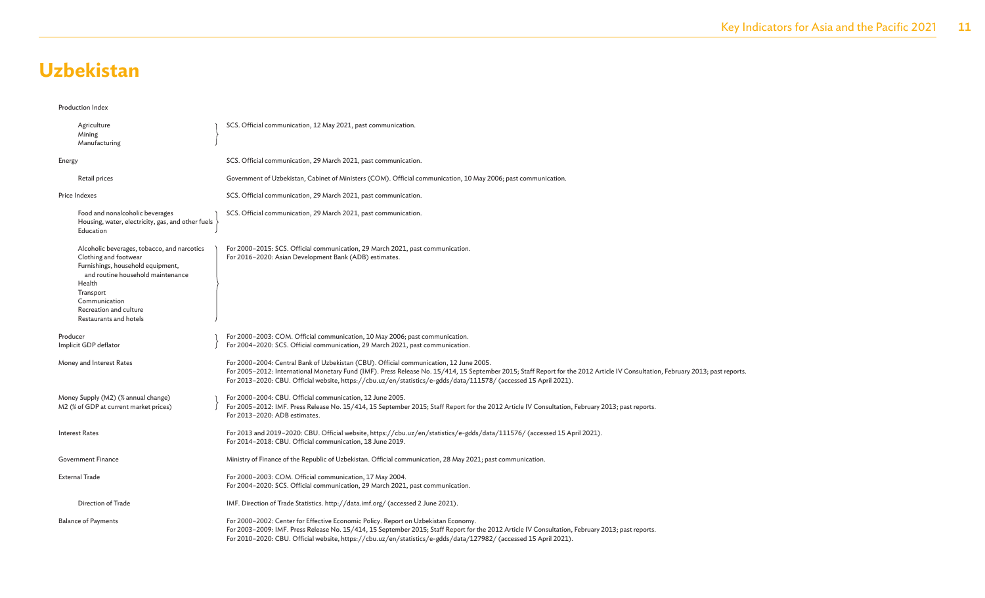#### Production Index

| Agriculture<br>Mining<br>Manufacturing                                                                                                                                                                                                     | SCS. Official communication, 12 May 2021, past communication.                                                                                                                                                                                                                                                                                                                                |
|--------------------------------------------------------------------------------------------------------------------------------------------------------------------------------------------------------------------------------------------|----------------------------------------------------------------------------------------------------------------------------------------------------------------------------------------------------------------------------------------------------------------------------------------------------------------------------------------------------------------------------------------------|
| Energy                                                                                                                                                                                                                                     | SCS. Official communication, 29 March 2021, past communication.                                                                                                                                                                                                                                                                                                                              |
| Retail prices                                                                                                                                                                                                                              | Government of Uzbekistan, Cabinet of Ministers (COM). Official communication, 10 May 2006; past communication.                                                                                                                                                                                                                                                                               |
| Price Indexes                                                                                                                                                                                                                              | SCS. Official communication, 29 March 2021, past communication.                                                                                                                                                                                                                                                                                                                              |
| Food and nonalcoholic beverages<br>Housing, water, electricity, gas, and other fuels<br>Education                                                                                                                                          | SCS. Official communication, 29 March 2021, past communication.                                                                                                                                                                                                                                                                                                                              |
| Alcoholic beverages, tobacco, and narcotics<br>Clothing and footwear<br>Furnishings, household equipment,<br>and routine household maintenance<br>Health<br>Transport<br>Communication<br>Recreation and culture<br>Restaurants and hotels | For 2000-2015: SCS. Official communication, 29 March 2021, past communication.<br>For 2016-2020: Asian Development Bank (ADB) estimates.                                                                                                                                                                                                                                                     |
| Producer<br>Implicit GDP deflator                                                                                                                                                                                                          | For 2000-2003: COM. Official communication, 10 May 2006; past communication.<br>For 2004-2020: SCS. Official communication, 29 March 2021, past communication.                                                                                                                                                                                                                               |
| Money and Interest Rates                                                                                                                                                                                                                   | For 2000-2004: Central Bank of Uzbekistan (CBU). Official communication, 12 June 2005.<br>For 2005-2012: International Monetary Fund (IMF). Press Release No. 15/414, 15 September 2015; Staff Report for the 2012 Article IV Consultation, February 2013; past reports.<br>For 2013-2020: CBU. Official website, https://cbu.uz/en/statistics/e-gdds/data/111578/ (accessed 15 April 2021). |
| Money Supply (M2) (% annual change)<br>M2 (% of GDP at current market prices)                                                                                                                                                              | For 2000-2004: CBU. Official communication, 12 June 2005.<br>For 2005-2012: IMF. Press Release No. 15/414, 15 September 2015; Staff Report for the 2012 Article IV Consultation, February 2013; past reports.<br>For 2013-2020: ADB estimates.                                                                                                                                               |
| <b>Interest Rates</b>                                                                                                                                                                                                                      | For 2013 and 2019-2020: CBU. Official website, https://cbu.uz/en/statistics/e-gdds/data/111576/ (accessed 15 April 2021).<br>For 2014-2018: CBU. Official communication, 18 June 2019.                                                                                                                                                                                                       |
| <b>Government Finance</b>                                                                                                                                                                                                                  | Ministry of Finance of the Republic of Uzbekistan. Official communication, 28 May 2021; past communication.                                                                                                                                                                                                                                                                                  |
| <b>External Trade</b>                                                                                                                                                                                                                      | For 2000-2003: COM. Official communication, 17 May 2004.<br>For 2004-2020: SCS. Official communication, 29 March 2021, past communication.                                                                                                                                                                                                                                                   |
| Direction of Trade                                                                                                                                                                                                                         | IMF. Direction of Trade Statistics. http://data.imf.org/ (accessed 2 June 2021).                                                                                                                                                                                                                                                                                                             |
| <b>Balance of Payments</b>                                                                                                                                                                                                                 | For 2000-2002: Center for Effective Economic Policy. Report on Uzbekistan Economy.<br>For 2003-2009: IMF. Press Release No. 15/414, 15 September 2015; Staff Report for the 2012 Article IV Consultation, February 2013; past reports.<br>For 2010-2020: CBU. Official website, https://cbu.uz/en/statistics/e-gdds/data/127982/ (accessed 15 April 2021).                                   |